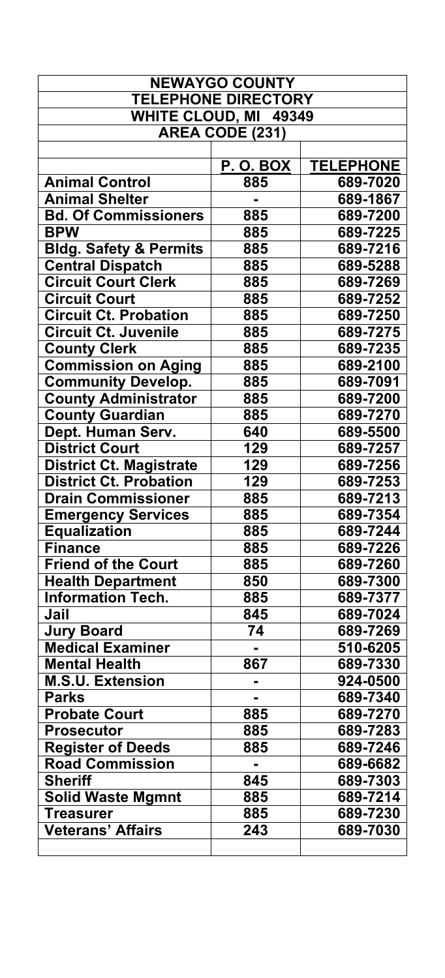| <b>NEWAYGO COUNTY</b>             |                            |                  |
|-----------------------------------|----------------------------|------------------|
|                                   | <b>TELEPHONE DIRECTORY</b> |                  |
| <b>WHITE CLOUD, MI</b>            | 49349                      |                  |
|                                   | AREA CODE (231)            |                  |
|                                   |                            |                  |
|                                   | <u>P. O. BOX</u>           | <b>TELEPHONE</b> |
| <b>Animal Control</b>             | 885                        | 689-7020         |
| <b>Animal Shelter</b>             |                            | 689-1867         |
| <b>Bd. Of Commissioners</b>       | 885                        | 689-7200         |
| <b>BPW</b>                        | 885                        | 689-7225         |
| <b>Bldg. Safety &amp; Permits</b> | 885                        | 689-7216         |
| <b>Central Dispatch</b>           | 885                        | 689-5288         |
| <b>Circuit Court Clerk</b>        | 885                        | 689-7269         |
| <b>Circuit Court</b>              | 885                        | 689-7252         |
| <b>Circuit Ct. Probation</b>      | 885                        | 689-7250         |
| <b>Circuit Ct. Juvenile</b>       | 885                        | 689-7275         |
| <b>County Clerk</b>               | 885                        | 689-7235         |
| <b>Commission on Aging</b>        | 885                        | 689-2100         |
| <b>Community Develop.</b>         | 885                        | 689-7091         |
| <b>County Administrator</b>       | 885                        | 689-7200         |
| <b>County Guardian</b>            | 885                        | 689-7270         |
| Dept. Human Serv.                 | 640                        | 689-5500         |
| <b>District Court</b>             | 129                        | 689-7257         |
| <b>District Ct. Magistrate</b>    | 129                        | 689-7256         |
| <b>District Ct. Probation</b>     | 129                        | 689-7253         |
| <b>Drain Commissioner</b>         | 885                        | 689-7213         |
| <b>Emergency Services</b>         | 885                        | 689-7354         |
| <b>Equalization</b>               | 885                        | 689-7244         |
| <b>Finance</b>                    | 885                        | 689-7226         |
| <b>Friend of the Court</b>        | 885                        | 689-7260         |
| <b>Health Department</b>          | 850                        | 689-7300         |
| <b>Information Tech.</b>          | 885                        | 689-7377         |
| Jail                              | 845                        | 689-7024         |
| <b>Jury Board</b>                 | 74                         | 689-7269         |
| <b>Medical Examiner</b>           |                            | 510-6205         |
| <b>Mental Health</b>              | 867                        | 689-7330         |
| <b>M.S.U. Extension</b>           |                            | 924-0500         |
| <b>Parks</b>                      |                            | 689-7340         |
| <b>Probate Court</b>              | 885                        | 689-7270         |
| <b>Prosecutor</b>                 | 885                        | 689-7283         |
| <b>Register of Deeds</b>          | 885                        | 689-7246         |
| <b>Road Commission</b>            |                            | 689-6682         |
| <b>Sheriff</b>                    | 845                        | 689-7303         |
| <b>Solid Waste Mgmnt</b>          | 885                        | 689-7214         |
| <b>Treasurer</b>                  | 885                        | 689-7230         |
| Veterans' Affairs                 | 243                        | 689-7030         |
|                                   |                            |                  |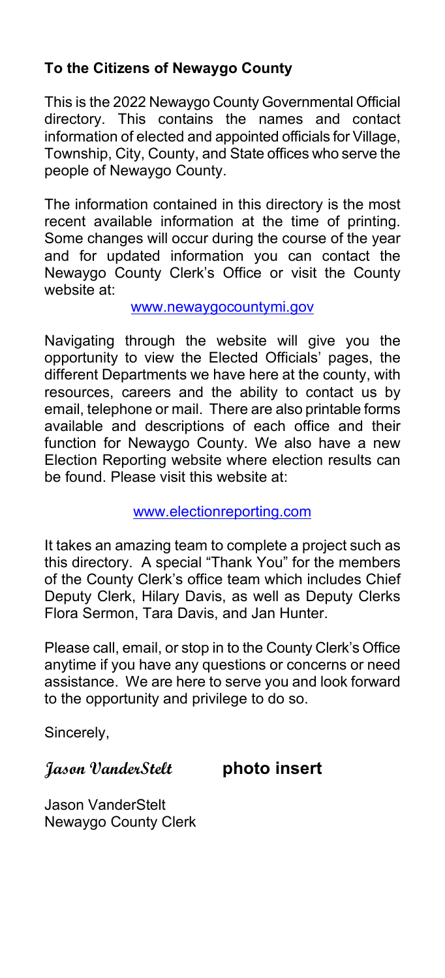### **To the Citizens of Newaygo County**

This is the 2022 Newaygo County Governmental Official directory. This contains the names and contact information of elected and appointed officials for Village, Township, City, County, and State offices who serve the people of Newaygo County.

The information contained in this directory is the most recent available information at the time of printing. Some changes will occur during the course of the year and for updated information you can contact the Newaygo County Clerk's Office or visit the County website at:

### [www.newaygocountymi.gov](http://www.countyofnewaygo.com/)

Navigating through the website will give you the opportunity to view the Elected Officials' pages, the different Departments we have here at the county, with resources, careers and the ability to contact us by email, telephone or mail. There are also printable forms available and descriptions of each office and their function for Newaygo County. We also have a new Election Reporting website where election results can be found. Please visit this website at:

### www.electionreporting.com

It takes an amazing team to complete a project such as this directory. A special "Thank You" for the members of the County Clerk's office team which includes Chief Deputy Clerk, Hilary Davis, as well as Deputy Clerks Flora Sermon, Tara Davis, and Jan Hunter.

Please call, email, or stop in to the County Clerk's Office anytime if you have any questions or concerns or need assistance. We are here to serve you and look forward to the opportunity and privilege to do so.

Sincerely,

### **Jason VanderStelt photo insert**

Jason VanderStelt Newaygo County Clerk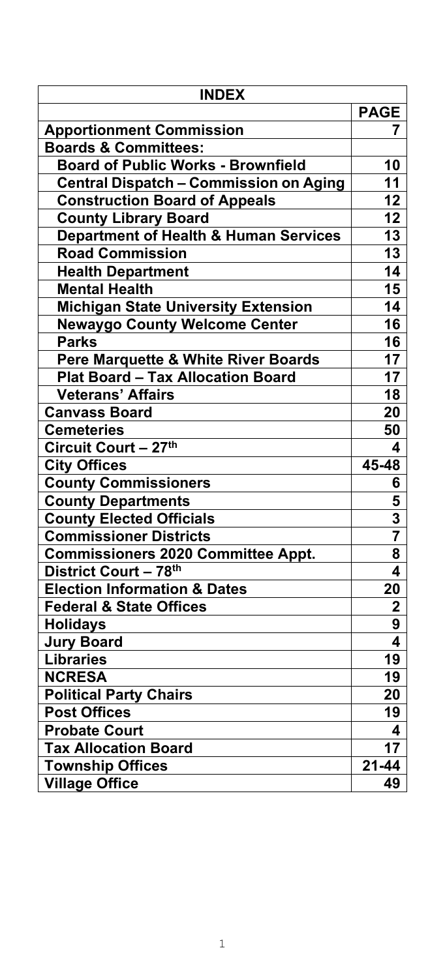| <b>INDEX</b>                                     |             |  |
|--------------------------------------------------|-------------|--|
|                                                  | <b>PAGE</b> |  |
| <b>Apportionment Commission</b>                  | 7           |  |
| <b>Boards &amp; Committees:</b>                  |             |  |
| <b>Board of Public Works - Brownfield</b>        | 10          |  |
| Central Dispatch - Commission on Aging           | 11          |  |
| <b>Construction Board of Appeals</b>             | 12          |  |
| <b>County Library Board</b>                      | 12          |  |
| <b>Department of Health &amp; Human Services</b> | 13          |  |
| <b>Road Commission</b>                           | 13          |  |
| <b>Health Department</b>                         | 14          |  |
| <b>Mental Health</b>                             | 15          |  |
| <b>Michigan State University Extension</b>       | 14          |  |
| <b>Newaygo County Welcome Center</b>             | 16          |  |
| <b>Parks</b>                                     | 16          |  |
| Pere Marquette & White River Boards              | 17          |  |
| <b>Plat Board - Tax Allocation Board</b>         | 17          |  |
| <b>Veterans' Affairs</b>                         | 18          |  |
| <b>Canvass Board</b>                             | 20          |  |
| <b>Cemeteries</b>                                | 50          |  |
| Circuit Court - 27th                             | 4           |  |
| <b>City Offices</b>                              | 45-48       |  |
| <b>County Commissioners</b>                      | 6           |  |
| <b>County Departments</b>                        | 5           |  |
| <b>County Elected Officials</b>                  | 3           |  |
| <b>Commissioner Districts</b>                    |             |  |
| <b>Commissioners 2020 Committee Appt.</b>        | 8           |  |
| District Court - 78th                            | 4           |  |
| <b>Election Information &amp; Dates</b>          | 20          |  |
| <b>Federal &amp; State Offices</b>               | $\mathbf 2$ |  |
| <b>Holidays</b>                                  | 9           |  |
| <b>Jury Board</b>                                | 4           |  |
| <b>Libraries</b>                                 | 19          |  |
| <b>NCRESA</b>                                    | 19          |  |
| <b>Political Party Chairs</b>                    | 20          |  |
| <b>Post Offices</b>                              | 19          |  |
| <b>Probate Court</b>                             | 4           |  |
| <b>Tax Allocation Board</b>                      | 17          |  |
| <b>Township Offices</b>                          | $21 - 44$   |  |
| <b>Village Office</b>                            | 49          |  |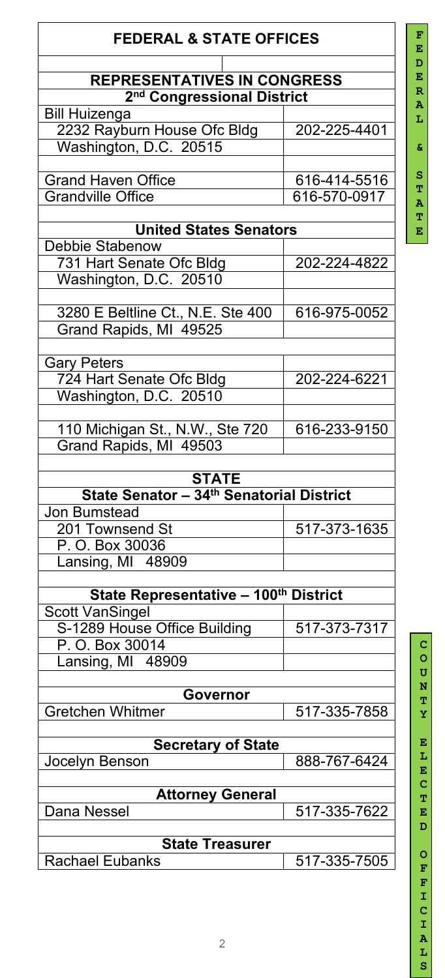| <b>FEDERAL &amp; STATE OFFICES</b>       |              |  |
|------------------------------------------|--------------|--|
| <b>REPRESENTATIVES IN CONGRESS</b>       |              |  |
| 2 <sup>nd</sup> Congressional District   |              |  |
| <b>Bill Huizenga</b>                     | 202-225-4401 |  |
| 2232 Rayburn House Ofc Bldg              |              |  |
| Washington, D.C. 20515                   |              |  |
| <b>Grand Haven Office</b>                | 616-414-5516 |  |
| <b>Grandville Office</b>                 | 616-570-0917 |  |
|                                          |              |  |
| <b>United States Senators</b>            |              |  |
| <b>Debbie Stabenow</b>                   |              |  |
| 731 Hart Senate Ofc Bldg                 | 202-224-4822 |  |
| Washington, D.C. 20510                   |              |  |
|                                          |              |  |
| 3280 E Beltline Ct., N.E. Ste 400        | 616-975-0052 |  |
| Grand Rapids, MI 49525                   |              |  |
|                                          |              |  |
| Gary Peters                              |              |  |
| 724 Hart Senate Ofc Bldg                 | 202-224-6221 |  |
| Washington, D.C. 20510                   |              |  |
|                                          |              |  |
| 110 Michigan St., N.W., Ste 720          | 616-233-9150 |  |
| Grand Rapids, MI 49503                   |              |  |
|                                          |              |  |
| <b>STATE</b>                             |              |  |
| State Senator - 34th Senatorial District |              |  |
| <b>Jon Bumstead</b>                      |              |  |
| 201 Townsend St                          | 517-373-1635 |  |
| P. O. Box 30036                          |              |  |
| Lansing, MI 48909                        |              |  |
|                                          |              |  |
| State Representative - 100th District    |              |  |
| <b>Scott VanSingel</b>                   |              |  |
| S-1289 House Office Building             | 517-373-7317 |  |
| P. O. Box 30014                          |              |  |
| Lansing, MI 48909                        |              |  |
|                                          |              |  |
| Governor                                 |              |  |
| <b>Gretchen Whitmer</b>                  | 517-335-7858 |  |
|                                          |              |  |
| <b>Secretary of State</b>                |              |  |
| Jocelyn Benson                           | 888-767-6424 |  |
|                                          |              |  |
| <b>Attorney General</b>                  |              |  |
| Dana Nessel                              | 517-335-7622 |  |
|                                          |              |  |
| <b>State Treasurer</b>                   |              |  |
| <b>Rachael Eubanks</b>                   | 517-335-7505 |  |

#### **F E D E R A L & S T A T E**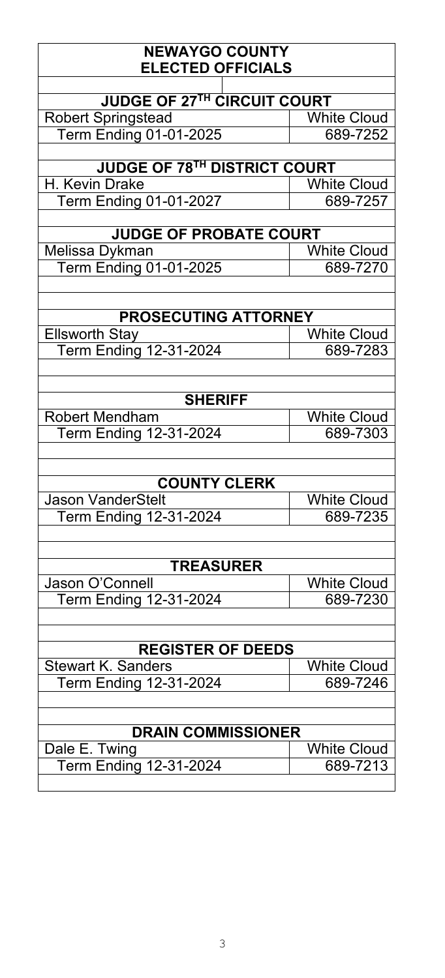| <b>NEWAYGO COUNTY</b><br><b>ELECTED OFFICIALS</b> |                    |  |
|---------------------------------------------------|--------------------|--|
|                                                   |                    |  |
| <b>JUDGE OF 27TH CIRCUIT COURT</b>                |                    |  |
| <b>Robert Springstead</b>                         | <b>White Cloud</b> |  |
| <b>Term Ending 01-01-2025</b>                     | 689-7252           |  |
|                                                   |                    |  |
| <b>JUDGE OF 78TH DISTRICT COURT</b>               |                    |  |
| H. Kevin Drake                                    | <b>White Cloud</b> |  |
| <b>Term Ending 01-01-2027</b>                     | 689-7257           |  |
|                                                   |                    |  |
| <b>JUDGE OF PROBATE COURT</b>                     |                    |  |
| Melissa Dykman                                    | <b>White Cloud</b> |  |
| Term Ending 01-01-2025                            | 689-7270           |  |
|                                                   |                    |  |
|                                                   |                    |  |
| <b>PROSECUTING ATTORNEY</b>                       |                    |  |
| <b>Ellsworth Stay</b>                             | <b>White Cloud</b> |  |
| <b>Term Ending 12-31-2024</b>                     | 689-7283           |  |
|                                                   |                    |  |
|                                                   |                    |  |
| <b>SHERIFF</b>                                    |                    |  |
| <b>Robert Mendham</b>                             | <b>White Cloud</b> |  |
| <b>Term Ending 12-31-2024</b>                     | 689-7303           |  |
|                                                   |                    |  |
|                                                   |                    |  |
| <b>COUNTY CLERK</b>                               |                    |  |
| <b>Jason VanderStelt</b>                          | <b>White Cloud</b> |  |
| <b>Term Ending 12-31-2024</b>                     | 689-7235           |  |
|                                                   |                    |  |
|                                                   |                    |  |
| <b>TREASURER</b>                                  |                    |  |
| Jason O'Connell                                   | <b>White Cloud</b> |  |
| <b>Term Ending 12-31-2024</b>                     | 689-7230           |  |
|                                                   |                    |  |
|                                                   |                    |  |
| <b>REGISTER OF DEEDS</b>                          |                    |  |
| <b>Stewart K. Sanders</b>                         | <b>White Cloud</b> |  |
| Term Ending 12-31-2024                            | 689-7246           |  |
|                                                   |                    |  |
|                                                   |                    |  |
| <b>DRAIN COMMISSIONER</b>                         |                    |  |
| Dale E. Twing                                     | <b>White Cloud</b> |  |
| <b>Term Ending 12-31-2024</b>                     | 689-7213           |  |
|                                                   |                    |  |
|                                                   |                    |  |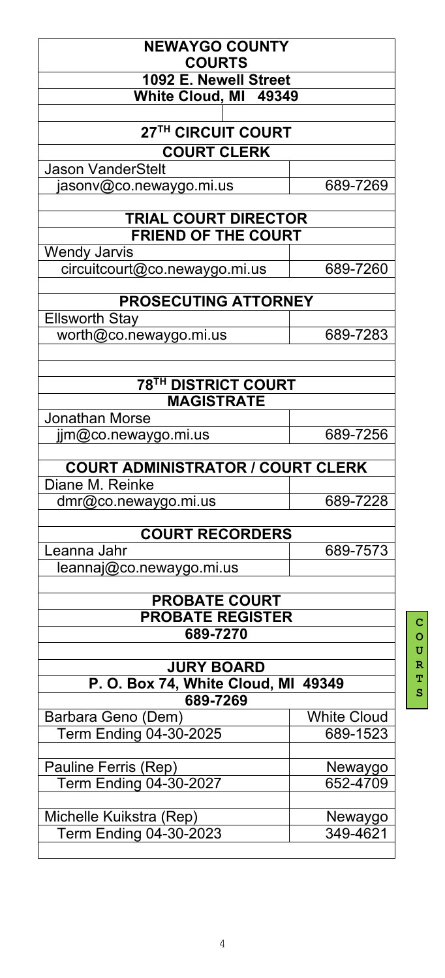| <b>NEWAYGO COUNTY</b><br><b>COURTS</b>          |                    |  |  |
|-------------------------------------------------|--------------------|--|--|
| 1092 E. Newell Street                           |                    |  |  |
| White Cloud, MI 49349                           |                    |  |  |
|                                                 |                    |  |  |
| 27TH CIRCUIT COURT                              |                    |  |  |
| <b>COURT CLERK</b>                              |                    |  |  |
| <b>Jason VanderStelt</b>                        |                    |  |  |
| asonv@co.newaygo.mi.us                          | 689-7269           |  |  |
| <b>TRIAL COURT DIRECTOR</b>                     |                    |  |  |
| <b>FRIEND OF THE COURT</b>                      |                    |  |  |
| <b>Wendy Jarvis</b>                             |                    |  |  |
| circuitcourt@co.newaygo.mi.us                   | 689-7260           |  |  |
| <b>PROSECUTING ATTORNEY</b>                     |                    |  |  |
| <b>Ellsworth Stay</b>                           |                    |  |  |
| worth@co.newaygo.mi.us                          | 689-7283           |  |  |
|                                                 |                    |  |  |
| <b>78TH DISTRICT COURT</b>                      |                    |  |  |
| <b>MAGISTRATE</b>                               |                    |  |  |
| <b>Jonathan Morse</b>                           |                    |  |  |
| $\lim$ $Q$ co. neway go. mi.us                  | 689-7256           |  |  |
| <b>COURT ADMINISTRATOR / COURT CLERK</b>        |                    |  |  |
| Diane M. Reinke                                 |                    |  |  |
| dmr@co.newaygo.mi.us                            | 689-7228           |  |  |
| <b>COURT RECORDERS</b>                          |                    |  |  |
| Leanna Jahr                                     | 689-7573           |  |  |
| leannaj@co.newaygo.mi.us                        |                    |  |  |
|                                                 |                    |  |  |
| <b>PROBATE COURT</b><br><b>PROBATE REGISTER</b> |                    |  |  |
| 689-7270                                        |                    |  |  |
|                                                 |                    |  |  |
| <b>JURY BOARD</b>                               |                    |  |  |
| P. O. Box 74, White Cloud, MI 49349             |                    |  |  |
| 689-7269                                        |                    |  |  |
| Barbara Geno (Dem)                              | <b>White Cloud</b> |  |  |
| Term Ending 04-30-2025                          | 689-1523           |  |  |
|                                                 |                    |  |  |
| Pauline Ferris (Rep)                            | Newaygo            |  |  |
| <b>Term Ending 04-30-2027</b>                   | 652-4709           |  |  |
|                                                 |                    |  |  |
| Michelle Kuikstra (Rep)                         | Newaygo            |  |  |
| Term Ending 04-30-2023                          | 349-4621           |  |  |
|                                                 |                    |  |  |

**C O U R T S**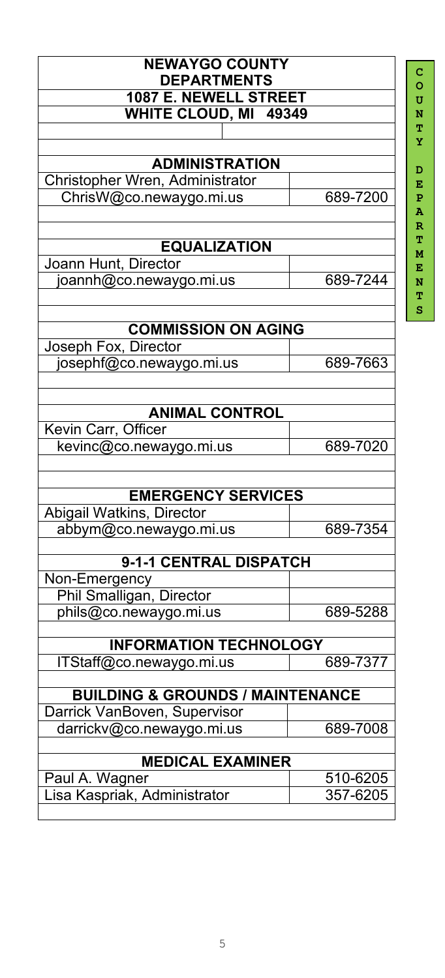| 689-7200<br>689-7244          |  |  |
|-------------------------------|--|--|
|                               |  |  |
|                               |  |  |
|                               |  |  |
|                               |  |  |
|                               |  |  |
|                               |  |  |
|                               |  |  |
|                               |  |  |
|                               |  |  |
|                               |  |  |
|                               |  |  |
|                               |  |  |
|                               |  |  |
| 689-7663                      |  |  |
|                               |  |  |
|                               |  |  |
|                               |  |  |
| 689-7020                      |  |  |
|                               |  |  |
|                               |  |  |
| 689-7354                      |  |  |
|                               |  |  |
|                               |  |  |
|                               |  |  |
|                               |  |  |
| 689-5288                      |  |  |
| <b>INFORMATION TECHNOLOGY</b> |  |  |
| 689-7377                      |  |  |
|                               |  |  |
|                               |  |  |
| 689-7008                      |  |  |
| <b>MEDICAL EXAMINER</b>       |  |  |
|                               |  |  |
| 510-6205<br>357-6205          |  |  |
|                               |  |  |

**O U N T Y D E P A R T M E N**

**T S**

**C**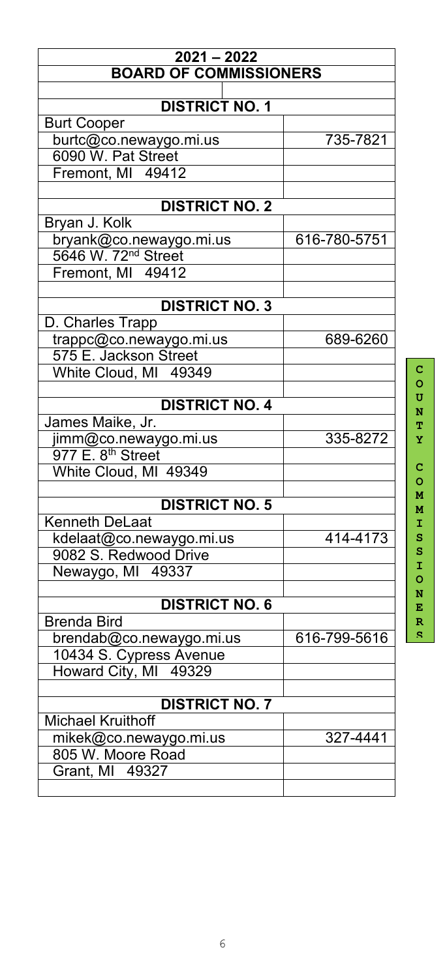| $2021 - 2022$                   |              |  |
|---------------------------------|--------------|--|
| <b>BOARD OF COMMISSIONERS</b>   |              |  |
|                                 |              |  |
| <b>DISTRICT NO. 1</b>           |              |  |
| <b>Burt Cooper</b>              |              |  |
| burtc@co.newaygo.mi.us          | 735-7821     |  |
| 6090 W. Pat Street              |              |  |
| Fremont, MI 49412               |              |  |
|                                 |              |  |
| <b>DISTRICT NO. 2</b>           |              |  |
| Bryan J. Kolk                   |              |  |
| bryank@co.newaygo.mi.us         | 616-780-5751 |  |
| 5646 W. 72 <sup>nd</sup> Street |              |  |
| Fremont, MI 49412               |              |  |
|                                 |              |  |
| <b>DISTRICT NO. 3</b>           |              |  |
| D. Charles Trapp                |              |  |
| trappc@co.newaygo.mi.us         | 689-6260     |  |
| 575 E. Jackson Street           |              |  |
| White Cloud, MI 49349           |              |  |
| <b>DISTRICT NO. 4</b>           |              |  |
|                                 |              |  |
| James Maike, Jr.                |              |  |
| jimm@co.newaygo.mi.us           | 335-8272     |  |
| 977 E. 8 <sup>th</sup> Street   |              |  |
| White Cloud, MI 49349           |              |  |
| <b>DISTRICT NO. 5</b>           |              |  |
| <b>Kenneth DeLaat</b>           |              |  |
| kdelaat@co.newaygo.mi.us        | 414-4173     |  |
| 9082 S. Redwood Drive           |              |  |
| Newaygo, MI 49337               |              |  |
|                                 |              |  |
| <b>DISTRICT NO. 6</b>           |              |  |
| <b>Brenda Bird</b>              |              |  |
| brendab@co.newaygo.mi.us        | 616-799-5616 |  |
| 10434 S. Cypress Avenue         |              |  |
| Howard City, MI 49329           |              |  |
|                                 |              |  |
| <b>DISTRICT NO. 7</b>           |              |  |
| <b>Michael Kruithoff</b>        |              |  |
| mikek@co.newaygo.mi.us          | 327-4441     |  |
| 805 W. Moore Road               |              |  |
| Grant, MI 49327                 |              |  |
|                                 |              |  |

**C O U N T Y C O M M I S S I O N E R**

**S**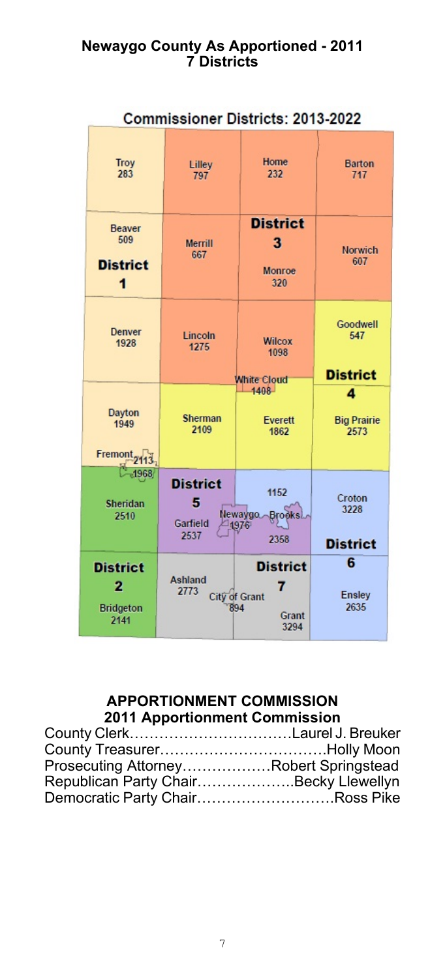### **Newaygo County As Apportioned - 2011 7 Districts**

| <b>Commissioner Districts: 2013-2022</b>  |                                          |                                                  |                                    |
|-------------------------------------------|------------------------------------------|--------------------------------------------------|------------------------------------|
| <b>Troy</b><br>283                        | Lilley<br>797                            | Home<br>232                                      | <b>Barton</b><br>717               |
| Beaver<br>509<br><b>District</b><br>1     | <b>Merrill</b><br>667                    | <b>District</b><br>3<br>Monroe<br>320            | <b>Norwich</b><br>607              |
| Denver<br>1928                            | Lincoln<br>1275                          | <b>Wilcox</b><br>1098<br>White Cloud             | Goodwell<br>547<br><b>District</b> |
| Dayton<br>1949<br>Fremont <sub>2113</sub> | <b>Sherman</b><br>2109                   | $-1408$<br>Everett<br>1862                       | 4<br><b>Big Prairie</b><br>2573    |
| 1968<br>Sheridan<br>2510                  | <b>District</b><br>5<br>Garfield<br>2537 | 1152<br>Newaygo<br><b>Brooks</b><br>1976<br>2358 | Croton<br>3228<br><b>District</b>  |
| <b>District</b>                           | Ashland                                  | <b>District</b><br>7                             | 6                                  |

### **APPORTIONMENT COMMISSION 2011 Apportionment Commission**

| County ClerkLaurel J. Breuker          |
|----------------------------------------|
|                                        |
| Prosecuting AttorneyRobert Springstead |
| Republican Party ChairBecky Llewellyn  |
| Democratic Party ChairRoss Pike        |
|                                        |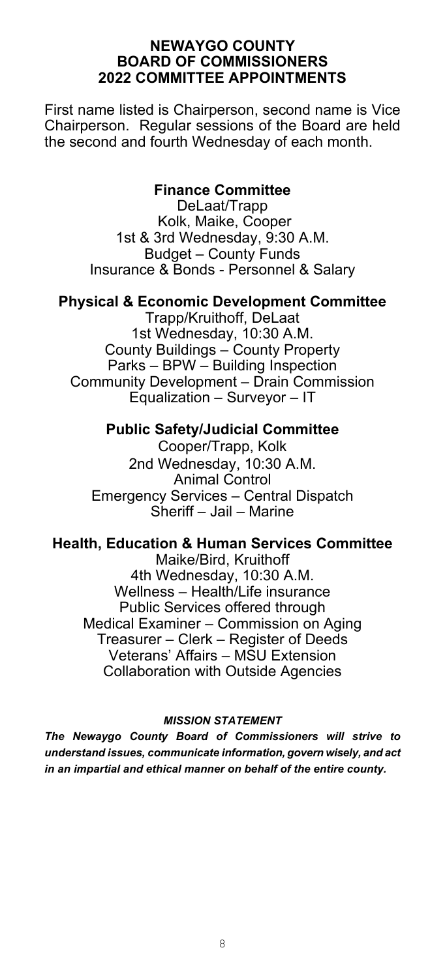#### **NEWAYGO COUNTY BOARD OF COMMISSIONERS 2022 COMMITTEE APPOINTMENTS**

First name listed is Chairperson, second name is Vice Chairperson. Regular sessions of the Board are held the second and fourth Wednesday of each month.

### **Finance Committee**

DeLaat/Trapp Kolk, Maike, Cooper 1st & 3rd Wednesday, 9:30 A.M. Budget – County Funds Insurance & Bonds - Personnel & Salary

### **Physical & Economic Development Committee**

Trapp/Kruithoff, DeLaat 1st Wednesday, 10:30 A.M. County Buildings – County Property Parks – BPW – Building Inspection Community Development – Drain Commission Equalization – Surveyor – IT

#### **Public Safety/Judicial Committee**

Cooper/Trapp, Kolk 2nd Wednesday, 10:30 A.M. Animal Control Emergency Services – Central Dispatch Sheriff – Jail – Marine

### **Health, Education & Human Services Committee**

Maike/Bird, Kruithoff 4th Wednesday, 10:30 A.M. Wellness – Health/Life insurance Public Services offered through Medical Examiner – Commission on Aging Treasurer – Clerk – Register of Deeds Veterans' Affairs – MSU Extension Collaboration with Outside Agencies

#### *MISSION STATEMENT*

*The Newaygo County Board of Commissioners will strive to understand issues, communicate information, govern wisely, and act in an impartial and ethical manner on behalf of the entire county.*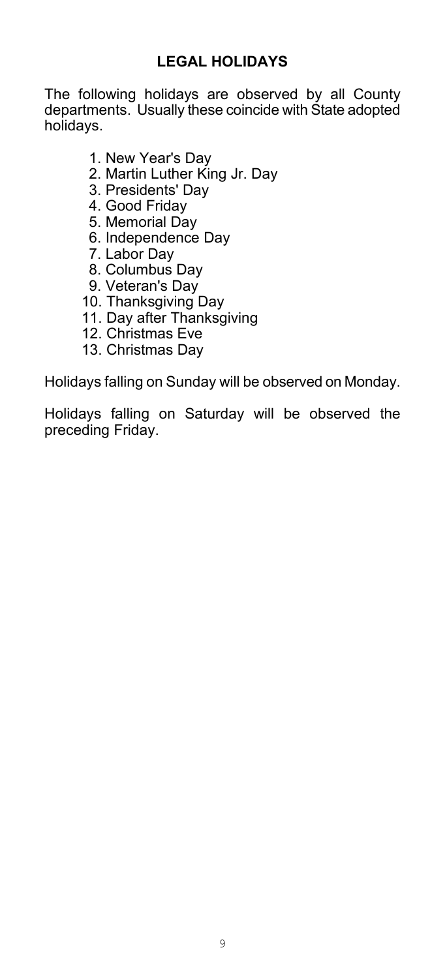The following holidays are observed by all County departments. Usually these coincide with State adopted holidays.

- 1. New Year's Day
- 2. Martin Luther King Jr. Day
- 3. Presidents' Day
- 4. Good Friday
- 5. Memorial Day
- 6. Independence Day
- 7. Labor Day
- 8. Columbus Day
- 9. Veteran's Day
- 10. Thanksgiving Day
- 11. Day after Thanksgiving
- 12. Christmas Eve
- 13. Christmas Day

Holidays falling on Sunday will be observed on Monday.

Holidays falling on Saturday will be observed the preceding Friday.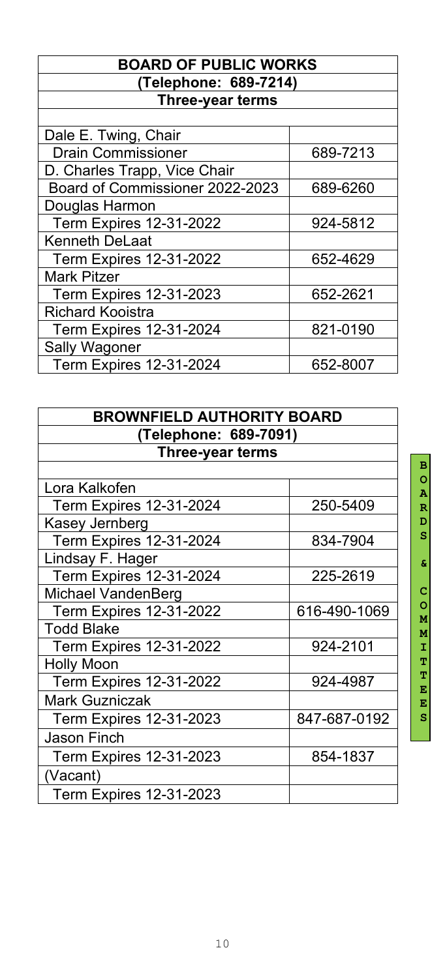### **BOARD OF PUBLIC WORKS (Telephone: 689-7214) Three-year terms**

| Dale E. Twing, Chair            |          |
|---------------------------------|----------|
| <b>Drain Commissioner</b>       | 689-7213 |
| D. Charles Trapp, Vice Chair    |          |
| Board of Commissioner 2022-2023 | 689-6260 |
| Douglas Harmon                  |          |
| <b>Term Expires 12-31-2022</b>  | 924-5812 |
| <b>Kenneth DeLaat</b>           |          |
| <b>Term Expires 12-31-2022</b>  | 652-4629 |
| <b>Mark Pitzer</b>              |          |
| <b>Term Expires 12-31-2023</b>  | 652-2621 |
| <b>Richard Kooistra</b>         |          |
| <b>Term Expires 12-31-2024</b>  | 821-0190 |
| <b>Sally Wagoner</b>            |          |
| <b>Term Expires 12-31-2024</b>  | 652-8007 |
|                                 |          |

| <b>BROWNFIELD AUTHORITY BOARD</b> |              |  |
|-----------------------------------|--------------|--|
| (Telephone: 689-7091)             |              |  |
| <b>Three-year terms</b>           |              |  |
|                                   |              |  |
| Lora Kalkofen                     |              |  |
| <b>Term Expires 12-31-2024</b>    | 250-5409     |  |
| Kasey Jernberg                    |              |  |
| <b>Term Expires 12-31-2024</b>    | 834-7904     |  |
| Lindsay F. Hager                  |              |  |
| <b>Term Expires 12-31-2024</b>    | 225-2619     |  |
| <b>Michael VandenBerg</b>         |              |  |
| <b>Term Expires 12-31-2022</b>    | 616-490-1069 |  |
| <b>Todd Blake</b>                 |              |  |
| <b>Term Expires 12-31-2022</b>    | 924-2101     |  |
| <b>Holly Moon</b>                 |              |  |
| <b>Term Expires 12-31-2022</b>    | 924-4987     |  |
| <b>Mark Guzniczak</b>             |              |  |
| <b>Term Expires 12-31-2023</b>    | 847-687-0192 |  |
| <b>Jason Finch</b>                |              |  |
| <b>Term Expires 12-31-2023</b>    | 854-1837     |  |
| (Vacant)                          |              |  |
| <b>Term Expires 12-31-2023</b>    |              |  |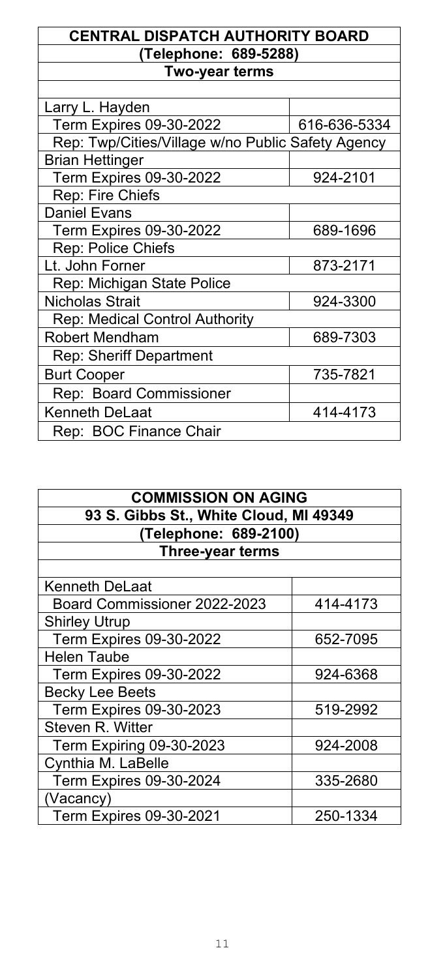### **CENTRAL DISPATCH AUTHORITY BOARD (Telephone: 689-5288) Two-year terms**

| Larry L. Hayden                                   |              |
|---------------------------------------------------|--------------|
| <b>Term Expires 09-30-2022</b>                    | 616-636-5334 |
| Rep: Twp/Cities/Village w/no Public Safety Agency |              |
| <b>Brian Hettinger</b>                            |              |
| <b>Term Expires 09-30-2022</b>                    | 924-2101     |
| Rep: Fire Chiefs                                  |              |
| <b>Daniel Evans</b>                               |              |
| <b>Term Expires 09-30-2022</b>                    | 689-1696     |
| Rep: Police Chiefs                                |              |
| Lt. John Forner                                   | 873-2171     |
| Rep: Michigan State Police                        |              |
| <b>Nicholas Strait</b>                            | 924-3300     |
| <b>Rep: Medical Control Authority</b>             |              |
| <b>Robert Mendham</b>                             | 689-7303     |
| <b>Rep: Sheriff Department</b>                    |              |
| <b>Burt Cooper</b>                                | 735-7821     |
| <b>Rep: Board Commissioner</b>                    |              |
| <b>Kenneth DeLaat</b>                             | 414-4173     |
| Rep: BOC Finance Chair                            |              |

| <b>COMMISSION ON AGING</b>             |          |
|----------------------------------------|----------|
| 93 S. Gibbs St., White Cloud, MI 49349 |          |
| (Telephone: 689-2100)                  |          |
| Three-year terms                       |          |
|                                        |          |
| <b>Kenneth DeLaat</b>                  |          |
| Board Commissioner 2022-2023           | 414-4173 |
| <b>Shirley Utrup</b>                   |          |
| <b>Term Expires 09-30-2022</b>         | 652-7095 |
| <b>Helen Taube</b>                     |          |
| Term Expires 09-30-2022                | 924-6368 |
| <b>Becky Lee Beets</b>                 |          |
| <b>Term Expires 09-30-2023</b>         | 519-2992 |
| <b>Steven R. Witter</b>                |          |
| Term Expiring 09-30-2023               | 924-2008 |
| Cynthia M. LaBelle                     |          |
| <b>Term Expires 09-30-2024</b>         | 335-2680 |
| (Vacancy)                              |          |
| <b>Term Expires 09-30-2021</b>         | 250-1334 |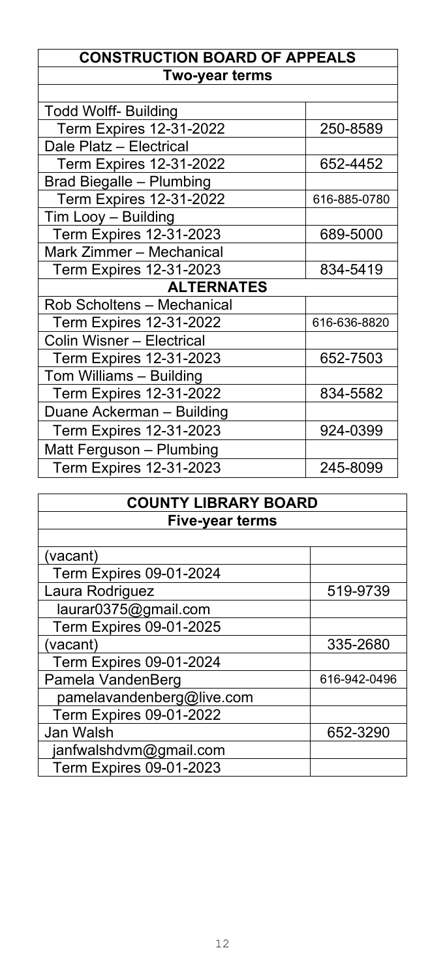### **CONSTRUCTION BOARD OF APPEALS Two-year terms**

| <b>Todd Wolff- Building</b>     |              |  |
|---------------------------------|--------------|--|
| <b>Term Expires 12-31-2022</b>  | 250-8589     |  |
| Dale Platz - Electrical         |              |  |
| <b>Term Expires 12-31-2022</b>  | 652-4452     |  |
| <b>Brad Biegalle - Plumbing</b> |              |  |
| <b>Term Expires 12-31-2022</b>  | 616-885-0780 |  |
| Tim Looy - Building             |              |  |
| <b>Term Expires 12-31-2023</b>  | 689-5000     |  |
| Mark Zimmer - Mechanical        |              |  |
| <b>Term Expires 12-31-2023</b>  | 834-5419     |  |
| <b>ALTERNATES</b>               |              |  |
| Rob Scholtens - Mechanical      |              |  |
| <b>Term Expires 12-31-2022</b>  | 616-636-8820 |  |
| Colin Wisner - Electrical       |              |  |
| <b>Term Expires 12-31-2023</b>  | 652-7503     |  |
| Tom Williams - Building         |              |  |
| <b>Term Expires 12-31-2022</b>  | 834-5582     |  |
| Duane Ackerman - Building       |              |  |
| <b>Term Expires 12-31-2023</b>  | 924-0399     |  |
| Matt Ferguson - Plumbing        |              |  |
| <b>Term Expires 12-31-2023</b>  | 245-8099     |  |

| <b>COUNTY LIBRARY BOARD</b>    |              |
|--------------------------------|--------------|
| <b>Five-year terms</b>         |              |
|                                |              |
| (vacant)                       |              |
| <b>Term Expires 09-01-2024</b> |              |
| Laura Rodriguez                | 519-9739     |
| laurar0375@gmail.com           |              |
| <b>Term Expires 09-01-2025</b> |              |
| (vacant)                       | 335-2680     |
| <b>Term Expires 09-01-2024</b> |              |
| Pamela VandenBerg              | 616-942-0496 |
| pamelavandenberg@live.com      |              |
| <b>Term Expires 09-01-2022</b> |              |
| Jan Walsh                      | 652-3290     |
| janfwalshdvm@gmail.com         |              |
| <b>Term Expires 09-01-2023</b> |              |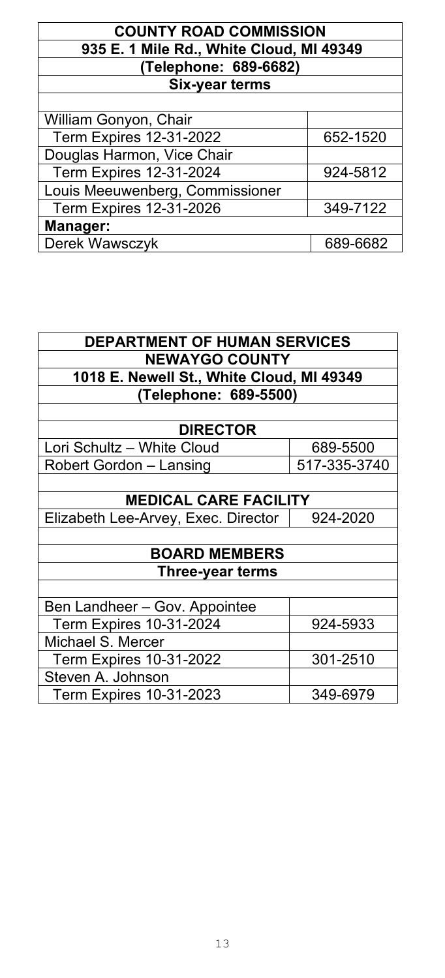| <b>COUNTY ROAD COMMISSION</b>            |          |  |
|------------------------------------------|----------|--|
| 935 E. 1 Mile Rd., White Cloud, MI 49349 |          |  |
| (Telephone: 689-6682)                    |          |  |
| <b>Six-year terms</b>                    |          |  |
|                                          |          |  |
| William Gonyon, Chair                    |          |  |
| <b>Term Expires 12-31-2022</b>           | 652-1520 |  |
| Douglas Harmon, Vice Chair               |          |  |
| <b>Term Expires 12-31-2024</b>           | 924-5812 |  |
| Louis Meeuwenberg, Commissioner          |          |  |
| Term Expires 12-31-2026                  | 349-7122 |  |
| Manager:                                 |          |  |
| Derek Wawsczyk                           | 689-6682 |  |

| <b>DEPARTMENT OF HUMAN SERVICES</b>       |                       |  |  |
|-------------------------------------------|-----------------------|--|--|
|                                           | <b>NEWAYGO COUNTY</b> |  |  |
| 1018 E. Newell St., White Cloud, MI 49349 |                       |  |  |
| (Telephone: 689-5500)                     |                       |  |  |
|                                           |                       |  |  |
| <b>DIRECTOR</b>                           |                       |  |  |
| Lori Schultz - White Cloud                | 689-5500              |  |  |
| Robert Gordon – Lansing                   | 517-335-3740          |  |  |
|                                           |                       |  |  |
| <b>MEDICAL CARE FACILITY</b>              |                       |  |  |
| Elizabeth Lee-Arvey, Exec. Director       | 924-2020              |  |  |
|                                           |                       |  |  |
| <b>BOARD MEMBERS</b>                      |                       |  |  |
| Three-year terms                          |                       |  |  |
|                                           |                       |  |  |
| Ben Landheer - Gov. Appointee             |                       |  |  |
| <b>Term Expires 10-31-2024</b>            | 924-5933              |  |  |
| Michael S. Mercer                         |                       |  |  |
| <b>Term Expires 10-31-2022</b>            | 301-2510              |  |  |
| Steven A. Johnson                         |                       |  |  |
| <b>Term Expires 10-31-2023</b>            | 349-6979              |  |  |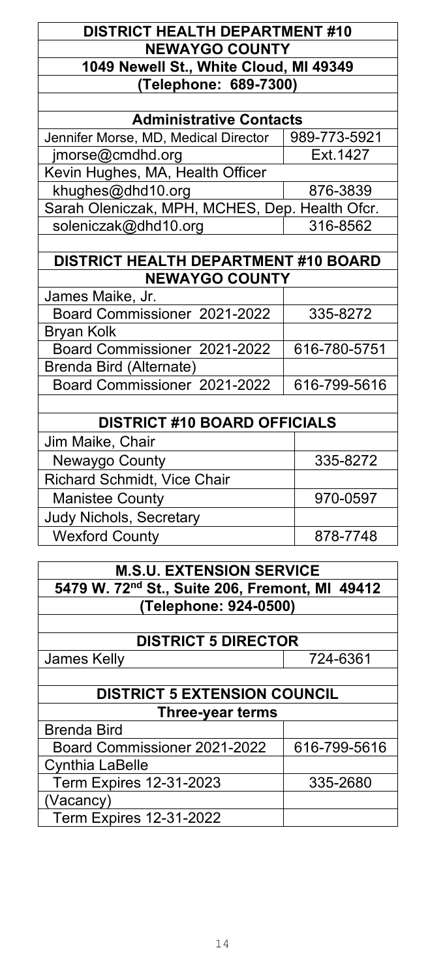### **DISTRICT HEALTH DEPARTMENT #10 NEWAYGO COUNTY 1049 Newell St., White Cloud, MI 49349 (Telephone: 689-7300)**

| <b>Administrative Contacts</b>                 |              |  |
|------------------------------------------------|--------------|--|
| Jennifer Morse, MD, Medical Director           | 989-773-5921 |  |
| jmorse@cmdhd.org                               | Ext. 1427    |  |
| Kevin Hughes, MA, Health Officer               |              |  |
| khughes@dhd10.org                              | 876-3839     |  |
| Sarah Oleniczak, MPH, MCHES, Dep. Health Ofcr. |              |  |
| soleniczak@dhd10.org                           | 316-8562     |  |
|                                                |              |  |
| <b>DISTRICT HEALTH DEPARTMENT #10 BOARD</b>    |              |  |
| <b>NEWAYGO COUNTY</b>                          |              |  |
| James Maike, Jr.                               |              |  |
| Board Commissioner 2021-2022                   | 335-8272     |  |
| <b>Bryan Kolk</b>                              |              |  |
| Board Commissioner 2021-2022                   | 616-780-5751 |  |
| Brenda Bird (Alternate)                        |              |  |
| Board Commissioner 2021-2022                   | 616-799-5616 |  |

| <b>DISTRICT #10 BOARD OFFICIALS</b> |          |
|-------------------------------------|----------|
| Jim Maike, Chair                    |          |
| Newaygo County                      | 335-8272 |
| <b>Richard Schmidt, Vice Chair</b>  |          |
| <b>Manistee County</b>              | 970-0597 |
| Judy Nichols, Secretary             |          |
| <b>Wexford County</b>               | 878-7748 |

| <b>M.S.U. EXTENSION SERVICE</b>                |
|------------------------------------------------|
| 5479 W. 72nd St., Suite 206, Fremont, MI 49412 |
| (Telephone: 924-0500)                          |
|                                                |

**DISTRICT 5 DIRECTOR**

| <b>James Kelly</b>                  | 724-6361     |
|-------------------------------------|--------------|
|                                     |              |
| <b>DISTRICT 5 EXTENSION COUNCIL</b> |              |
| Three-year terms                    |              |
| <b>Brenda Bird</b>                  |              |
| Board Commissioner 2021-2022        | 616-799-5616 |
| <b>Cynthia LaBelle</b>              |              |
| <b>Term Expires 12-31-2023</b>      | 335-2680     |
| (Vacancy)                           |              |
| <b>Term Expires 12-31-2022</b>      |              |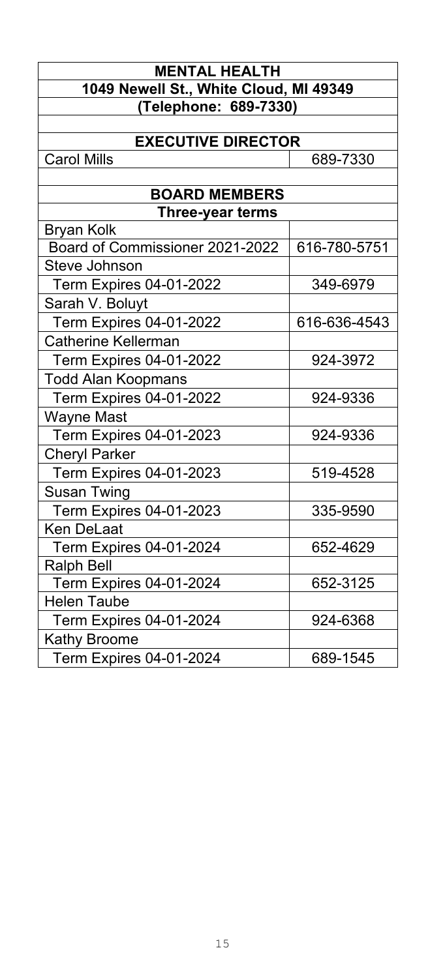| <b>MENTAL HEALTH</b>                                 |              |
|------------------------------------------------------|--------------|
| 1049 Newell St., White Cloud, MI 49349               |              |
| (Telephone: 689-7330)                                |              |
|                                                      |              |
| <b>EXECUTIVE DIRECTOR</b>                            |              |
| <b>Carol Mills</b>                                   | 689-7330     |
|                                                      |              |
| <b>BOARD MEMBERS</b>                                 |              |
| <b>Three-year terms</b>                              |              |
| <b>Bryan Kolk</b><br>Board of Commissioner 2021-2022 | 616-780-5751 |
| Steve Johnson                                        |              |
| <b>Term Expires 04-01-2022</b>                       | 349-6979     |
|                                                      |              |
| Sarah V. Boluyt                                      | 616-636-4543 |
| <b>Term Expires 04-01-2022</b>                       |              |
| <b>Catherine Kellerman</b>                           |              |
| <b>Term Expires 04-01-2022</b>                       | 924-3972     |
| <b>Todd Alan Koopmans</b>                            |              |
| Term Expires 04-01-2022                              | 924-9336     |
| <b>Wayne Mast</b>                                    |              |
| <b>Term Expires 04-01-2023</b>                       | 924-9336     |
| <b>Cheryl Parker</b>                                 |              |
| <b>Term Expires 04-01-2023</b>                       | 519-4528     |
| <b>Susan Twing</b>                                   |              |
| <b>Term Expires 04-01-2023</b>                       | 335-9590     |
| Ken DeLaat                                           |              |
| <b>Term Expires 04-01-2024</b>                       | 652-4629     |
| <b>Ralph Bell</b>                                    |              |
| <b>Term Expires 04-01-2024</b>                       | 652-3125     |
| <b>Helen Taube</b>                                   |              |
| <b>Term Expires 04-01-2024</b>                       | 924-6368     |
| <b>Kathy Broome</b>                                  |              |
| <b>Term Expires 04-01-2024</b>                       | 689-1545     |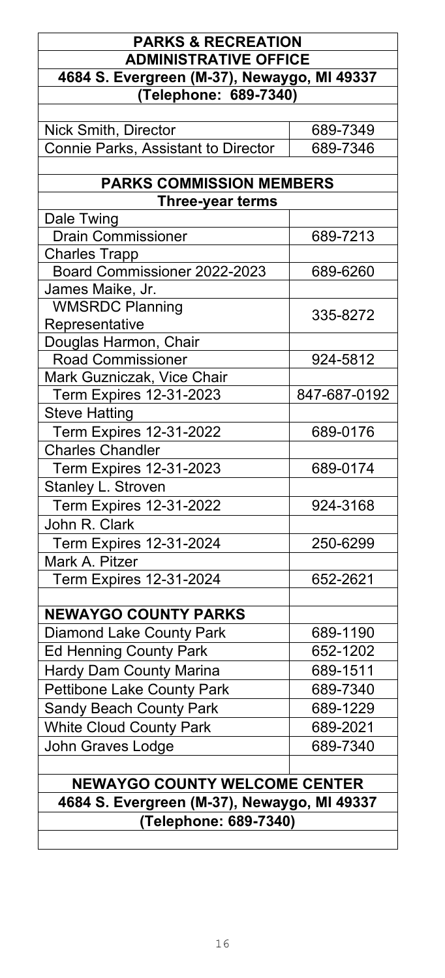### **PARKS & RECREATION ADMINISTRATIVE OFFICE 4684 S. Evergreen (M-37), Newaygo, MI 49337 (Telephone: 689-7340)** Nick Smith, Director 689-7349 Connie Parks, Assistant to Director | 689-7346 **PARKS COMMISSION MEMBERS Three-year terms** Dale Twing Drain Commissioner 1689-7213 Charles Trapp Board Commissioner 2022-2023 | 689-6260 James Maike, Jr. WMSRDC Planning Privident DC Flamining<br>Representative 1999 Douglas Harmon, Chair Road Commissioner | 924-5812 Mark Guzniczak, Vice Chair Term Expires 12-31-2023 | 847-687-0192 Steve Hatting Term Expires 12-31-2022 689-0176 Charles Chandler Term Expires 12-31-2023 689-0174 Stanley L. Stroven Term Expires 12-31-2022 1924-3168 John R. Clark Term Expires 12-31-2024 250-6299 Mark A. Pitzer Term Expires 12-31-2024 652-2621 **NEWAYGO COUNTY PARKS** Diamond Lake County Park 1689-1190 Ed Henning County Park 1994 1995 1997 1998 Hardy Dam County Marina Fig. 389-1511 Pettibone Lake County Park 1889-7340 Sandy Beach County Park 1889-1229 White Cloud County Park 1994-0021 John Graves Lodge **689-7340 NEWAYGO COUNTY WELCOME CENTER 4684 S. Evergreen (M-37), Newaygo, MI 49337 (Telephone: 689-7340)**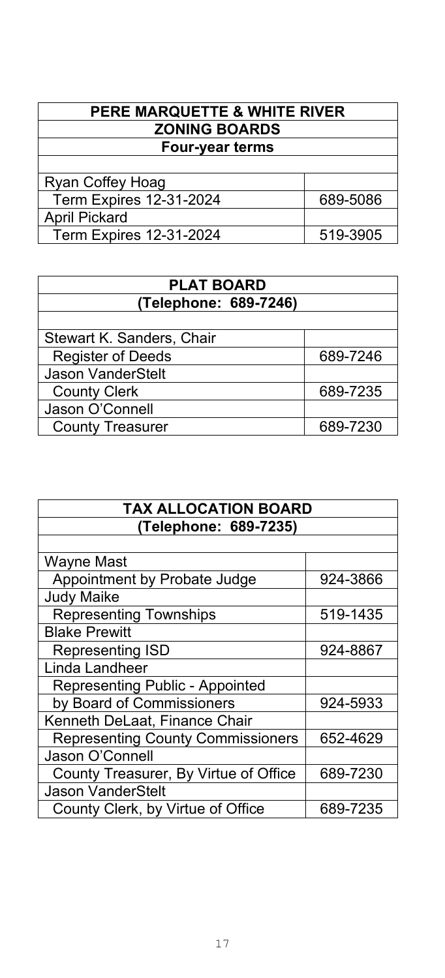| PERE MARQUETTE & WHITE RIVER   |          |
|--------------------------------|----------|
| <b>ZONING BOARDS</b>           |          |
| <b>Four-year terms</b>         |          |
|                                |          |
| Ryan Coffey Hoag               |          |
| <b>Term Expires 12-31-2024</b> | 689-5086 |
| <b>April Pickard</b>           |          |
| <b>Term Expires 12-31-2024</b> | 519-3905 |
|                                |          |

| <b>PLAT BOARD</b>         |          |
|---------------------------|----------|
| (Telephone: 689-7246)     |          |
|                           |          |
| Stewart K. Sanders, Chair |          |
| <b>Register of Deeds</b>  | 689-7246 |
| <b>Jason VanderStelt</b>  |          |
| <b>County Clerk</b>       | 689-7235 |
| Jason O'Connell           |          |
| <b>County Treasurer</b>   | 689-7230 |

| <b>TAX ALLOCATION BOARD</b>              |          |
|------------------------------------------|----------|
| (Telephone: 689-7235)                    |          |
|                                          |          |
| Wayne Mast                               |          |
| Appointment by Probate Judge             | 924-3866 |
| <b>Judy Maike</b>                        |          |
| <b>Representing Townships</b>            | 519-1435 |
| <b>Blake Prewitt</b>                     |          |
| <b>Representing ISD</b>                  | 924-8867 |
| Linda Landheer                           |          |
| <b>Representing Public - Appointed</b>   |          |
| by Board of Commissioners                | 924-5933 |
| Kenneth DeLaat, Finance Chair            |          |
| <b>Representing County Commissioners</b> | 652-4629 |
| Jason O'Connell                          |          |
| County Treasurer, By Virtue of Office    | 689-7230 |
| <b>Jason VanderStelt</b>                 |          |
| County Clerk, by Virtue of Office        | 689-7235 |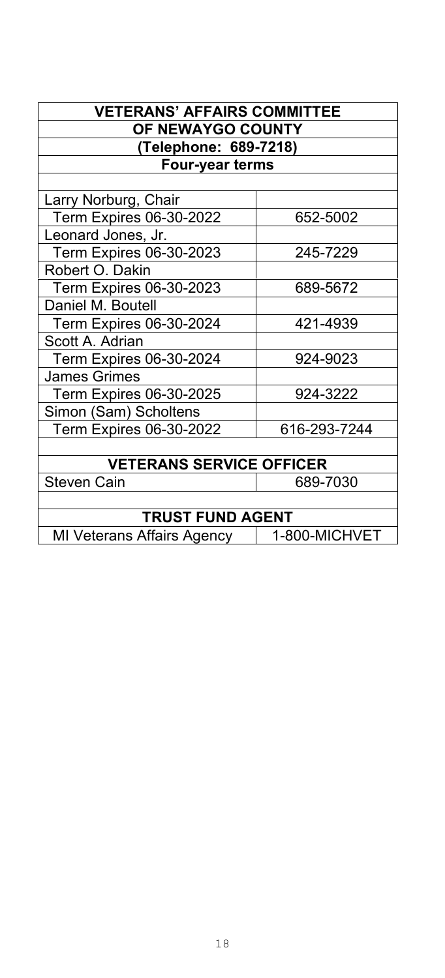|                                   | <b>VETERANS' AFFAIRS COMMITTEE</b> |  |
|-----------------------------------|------------------------------------|--|
| OF NEWAYGO COUNTY                 |                                    |  |
| (Telephone: 689-7218)             |                                    |  |
| <b>Four-year terms</b>            |                                    |  |
|                                   |                                    |  |
| Larry Norburg, Chair              |                                    |  |
| Term Expires 06-30-2022           | 652-5002                           |  |
| Leonard Jones, Jr.                |                                    |  |
| Term Expires 06-30-2023           | 245-7229                           |  |
| Robert O. Dakin                   |                                    |  |
| <b>Term Expires 06-30-2023</b>    | 689-5672                           |  |
| Daniel M. Boutell                 |                                    |  |
| <b>Term Expires 06-30-2024</b>    | 421-4939                           |  |
| Scott A. Adrian                   |                                    |  |
| <b>Term Expires 06-30-2024</b>    | 924-9023                           |  |
| <b>James Grimes</b>               |                                    |  |
| Term Expires 06-30-2025           | 924-3222                           |  |
| Simon (Sam) Scholtens             |                                    |  |
| <b>Term Expires 06-30-2022</b>    | 616-293-7244                       |  |
|                                   |                                    |  |
| <b>VETERANS SERVICE OFFICER</b>   |                                    |  |
| Steven Cain                       | 689-7030                           |  |
|                                   |                                    |  |
| <b>TRUST FUND AGENT</b>           |                                    |  |
| <b>MI Veterans Affairs Agency</b> | 1-800-MICHVET                      |  |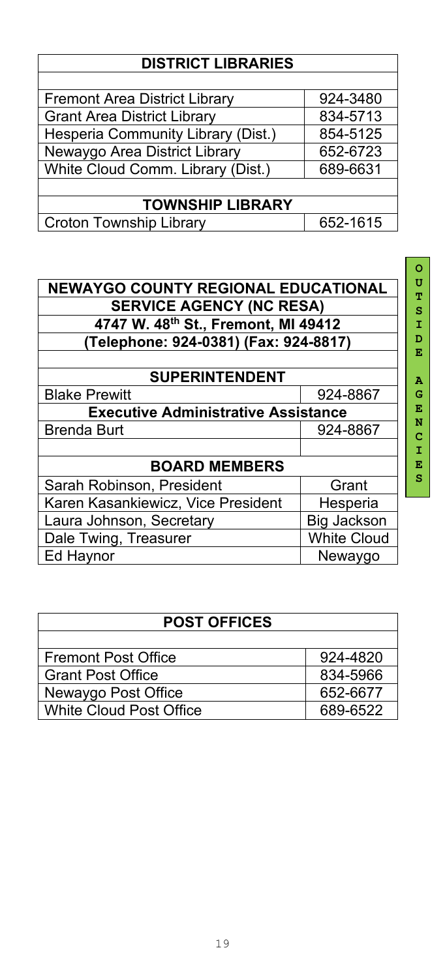### **DISTRICT LIBRARIES**

| <b>Fremont Area District Library</b> | 924-3480 |  |
|--------------------------------------|----------|--|
| <b>Grant Area District Library</b>   | 834-5713 |  |
| Hesperia Community Library (Dist.)   | 854-5125 |  |
| Newaygo Area District Library        | 652-6723 |  |
| White Cloud Comm. Library (Dist.)    | 689-6631 |  |
|                                      |          |  |
| <b>TOWNSHIP LIBRARY</b>              |          |  |
| <b>Croton Township Library</b>       | 652-1615 |  |

| <b>NEWAYGO COUNTY REGIONAL EDUCATIONAL</b>  |                    |  |
|---------------------------------------------|--------------------|--|
| <b>SERVICE AGENCY (NC RESA)</b>             |                    |  |
| 4747 W. 48th St., Fremont, MI 49412         |                    |  |
| (Telephone: 924-0381) (Fax: 924-8817)       |                    |  |
|                                             |                    |  |
| <b>SUPERINTENDENT</b>                       |                    |  |
| <b>Blake Prewitt</b>                        | 924-8867           |  |
| <b>Executive Administrative Assistance</b>  |                    |  |
| <b>Brenda Burt</b>                          | 924-8867           |  |
|                                             |                    |  |
| <b>BOARD MEMBERS</b>                        |                    |  |
| Sarah Robinson, President                   | Grant              |  |
| Karen Kasankiewicz, Vice President          | Hesperia           |  |
| Laura Johnson, Secretary                    | <b>Big Jackson</b> |  |
| <b>White Cloud</b><br>Dale Twing, Treasurer |                    |  |
| Ed Haynor                                   | Newaygo            |  |

| <b>POST OFFICES</b>            |          |  |
|--------------------------------|----------|--|
|                                |          |  |
| <b>Fremont Post Office</b>     | 924-4820 |  |
| <b>Grant Post Office</b>       | 834-5966 |  |
| Newaygo Post Office            | 652-6677 |  |
| <b>White Cloud Post Office</b> | 689-6522 |  |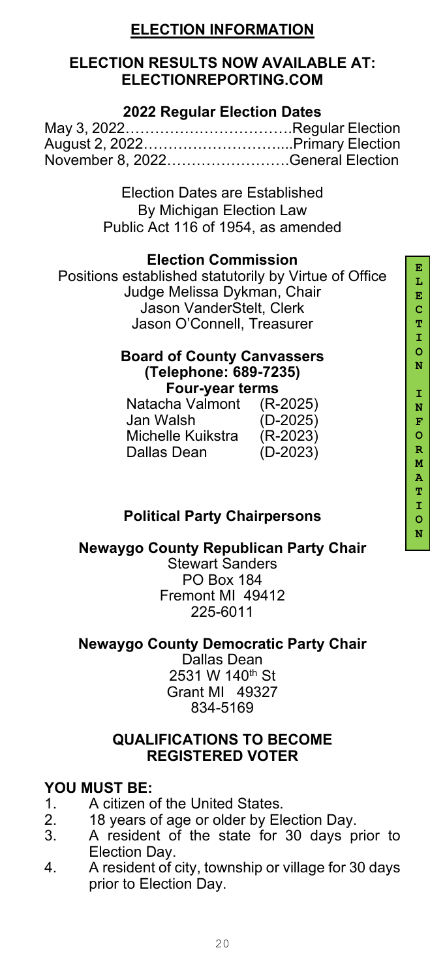### **ELECTION INFORMATION**

### **ELECTION RESULTS NOW AVAILABLE AT: ELECTIONREPORTING.COM**

### **2022 Regular Election Dates**

| November 8, 2022General Election |  |
|----------------------------------|--|

Election Dates are Established By Michigan Election Law Public Act 116 of 1954, as amended

### **Election Commission**

Positions established statutorily by Virtue of Office Judge Melissa Dykman, Chair Jason VanderStelt, Clerk Jason O'Connell, Treasurer

### **Board of County Canvassers (Telephone: 689-7235) Four-year terms**

| $(R-2025)$ |
|------------|
| $(D-2025)$ |
| $(R-2023)$ |
| $(D-2023)$ |
|            |

### **Political Party Chairpersons**

### **Newaygo County Republican Party Chair**

Stewart Sanders PO Box 184 Fremont MI 49412 225-6011

### **Newaygo County Democratic Party Chair**

Dallas Dean 2531 W 140<sup>th</sup> St Grant MI 49327 834-5169

#### **QUALIFICATIONS TO BECOME REGISTERED VOTER**

# **YOU MUST BE:**

- A citizen of the United States.
- 
- 2. 18 years of age or older by Election Day. 3. A resident of the state for 30 days prior to Election Day.
- 4. A resident of city, township or village for 30 days prior to Election Day.

**E**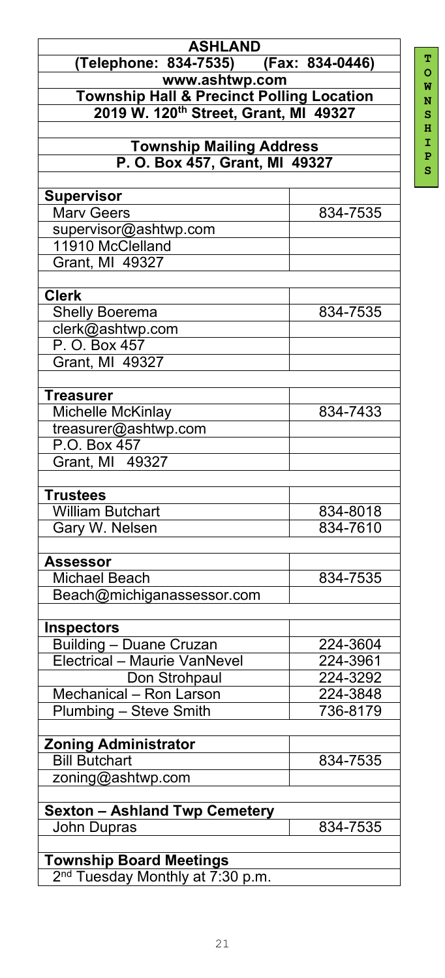**S**

| <b>ASHLAND</b>                                                                 |          |
|--------------------------------------------------------------------------------|----------|
| (Telephone: 834-7535) (Fax: 834-0446)                                          |          |
| www.ashtwp.com                                                                 |          |
| <b>Township Hall &amp; Precinct Polling Location</b>                           |          |
| 2019 W. 120th Street, Grant, MI 49327                                          |          |
|                                                                                |          |
| <b>Township Mailing Address</b>                                                |          |
| P. O. Box 457, Grant, MI 49327                                                 |          |
|                                                                                |          |
| <b>Supervisor</b>                                                              |          |
| <b>Marv Geers</b>                                                              | 834-7535 |
| supervisor@ashtwp.com                                                          |          |
| 11910 McClelland                                                               |          |
| Grant, MI 49327                                                                |          |
|                                                                                |          |
| <b>Clerk</b>                                                                   |          |
| <b>Shelly Boerema</b>                                                          | 834-7535 |
| clerk@ashtwp.com                                                               |          |
| P. O. Box 457                                                                  |          |
| Grant, MI 49327                                                                |          |
|                                                                                |          |
| Treasurer                                                                      |          |
| Michelle McKinlay                                                              | 834-7433 |
| treasurer@ashtwp.com                                                           |          |
| P.O. Box 457                                                                   |          |
| Grant, MI 49327                                                                |          |
|                                                                                |          |
| <b>Trustees</b>                                                                |          |
| <b>William Butchart</b>                                                        | 834-8018 |
| Gary W. Nelsen                                                                 | 834-7610 |
|                                                                                |          |
| <b>Assessor</b>                                                                |          |
| <b>Michael Beach</b>                                                           | 834-7535 |
| Beach@michiganassessor.com                                                     |          |
|                                                                                |          |
| <b>Inspectors</b>                                                              |          |
| <b>Building - Duane Cruzan</b>                                                 | 224-3604 |
| Electrical - Maurie VanNevel                                                   | 224-3961 |
| Don Strohpaul                                                                  | 224-3292 |
| Mechanical - Ron Larson                                                        | 224-3848 |
| Plumbing - Steve Smith                                                         | 736-8179 |
|                                                                                |          |
| <b>Zoning Administrator</b>                                                    |          |
| <b>Bill Butchart</b>                                                           | 834-7535 |
| zoning@ashtwp.com                                                              |          |
|                                                                                |          |
| Sexton - Ashland Twp Cemetery                                                  |          |
| <b>John Dupras</b>                                                             | 834-7535 |
|                                                                                |          |
| <b>Township Board Meetings</b><br>2 <sup>nd</sup> Tuesday Monthly at 7:30 p.m. |          |
|                                                                                |          |

2<sup>nd</sup> Tuesday Monthly at 7:30 p.m.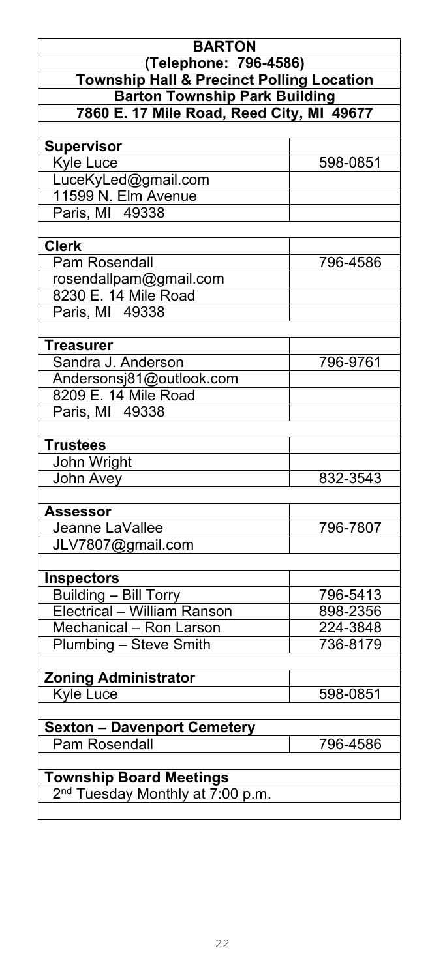| <b>BARTON</b>                                                                 |          |
|-------------------------------------------------------------------------------|----------|
| (Telephone: 796-4586)<br><b>Township Hall &amp; Precinct Polling Location</b> |          |
| <b>Barton Township Park Building</b>                                          |          |
| 7860 E. 17 Mile Road, Reed City, MI 49677                                     |          |
| <b>Supervisor</b>                                                             |          |
| <b>Kyle Luce</b>                                                              | 598-0851 |
| LuceKyLed@gmail.com                                                           |          |
| 11599 N. Elm Avenue                                                           |          |
| Paris, MI 49338                                                               |          |
| <b>Clerk</b>                                                                  |          |
| <b>Pam Rosendall</b>                                                          | 796-4586 |
| rosendallpam@gmail.com                                                        |          |
| 8230 E. 14 Mile Road                                                          |          |
| Paris, MI 49338                                                               |          |
| <b>Treasurer</b>                                                              |          |
| Sandra J. Anderson                                                            | 796-9761 |
| Andersonsj81@outlook.com                                                      |          |
| 8209 E. 14 Mile Road                                                          |          |
| Paris, MI 49338                                                               |          |
| <b>Trustees</b>                                                               |          |
| John Wright                                                                   |          |
| John Avey                                                                     | 832-3543 |
| <b>Assessor</b>                                                               |          |
| Jeanne LaVallee                                                               | 796-7807 |
| JLV7807@gmail.com                                                             |          |
|                                                                               |          |
| <b>Inspectors</b><br><b>Building - Bill Torry</b>                             | 796-5413 |
| Electrical - William Ranson                                                   | 898-2356 |
| Mechanical - Ron Larson                                                       | 224-3848 |
| Plumbing - Steve Smith                                                        | 736-8179 |
|                                                                               |          |
| <b>Zoning Administrator</b><br><b>Kyle Luce</b>                               | 598-0851 |
|                                                                               |          |
| <b>Sexton - Davenport Cemetery</b>                                            |          |
| <b>Pam Rosendall</b>                                                          | 796-4586 |
| <b>Township Board Meetings</b>                                                |          |
| 2 <sup>nd</sup> Tuesday Monthly at 7:00 p.m.                                  |          |
|                                                                               |          |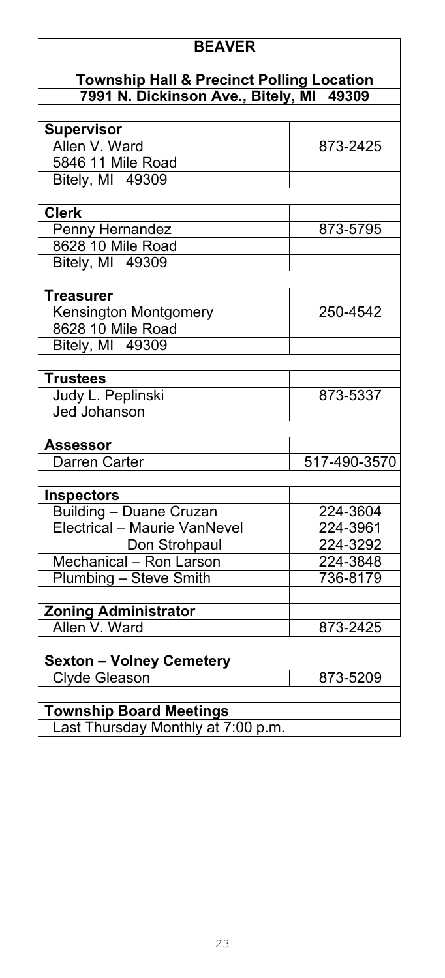### **BEAVER**

### **Township Hall & Precinct Polling Location 7991 N. Dickinson Ave., Bitely, MI 49309**

| <b>Supervisor</b>                  |              |
|------------------------------------|--------------|
| Allen V. Ward                      | 873-2425     |
| 5846 11 Mile Road                  |              |
| Bitely, MI 49309                   |              |
|                                    |              |
| <b>Clerk</b>                       |              |
| <b>Penny Hernandez</b>             | 873-5795     |
| 8628 10 Mile Road                  |              |
| Bitely, MI 49309                   |              |
|                                    |              |
| <b>Treasurer</b>                   |              |
| <b>Kensington Montgomery</b>       | 250-4542     |
| 8628 10 Mile Road                  |              |
| <b>Bitely, MI 49309</b>            |              |
|                                    |              |
| <b>Trustees</b>                    |              |
| Judy L. Peplinski                  | 873-5337     |
| <b>Jed Johanson</b>                |              |
| <b>Assessor</b>                    |              |
| <b>Darren Carter</b>               | 517-490-3570 |
|                                    |              |
| <b>Inspectors</b>                  |              |
| <u> Building – Duane Cruzan</u>    | 224-3604     |
| Electrical - Maurie VanNevel       | 224-3961     |
| Don Strohpaul                      | $224 - 3292$ |
| Mechanical - Ron Larson            | 224-3848     |
| Plumbing - Steve Smith             | 736-8179     |
|                                    |              |
| <b>Zoning Administrator</b>        |              |
| Allen V. Ward                      | 873-2425     |
|                                    |              |
| <b>Sexton - Volney Cemetery</b>    |              |
| <b>Clyde Gleason</b>               | 873-5209     |
|                                    |              |
| <b>Township Board Meetings</b>     |              |
| Last Thursday Monthly at 7:00 p.m. |              |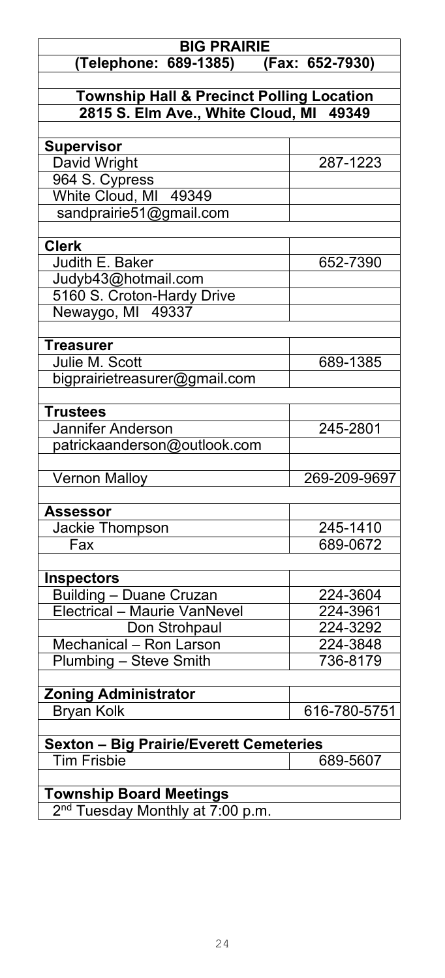| <b>BIG PRAIRIE</b>                                            |                      |
|---------------------------------------------------------------|----------------------|
| (Telephone: 689-1385) (Fax: 652-7930)                         |                      |
|                                                               |                      |
| <b>Township Hall &amp; Precinct Polling Location</b>          |                      |
| 2815 S. Elm Ave., White Cloud, MI 49349                       |                      |
| <b>Supervisor</b>                                             |                      |
| David Wright                                                  | 287-1223             |
| 964 S. Cypress                                                |                      |
| White Cloud, MI 49349                                         |                      |
| sandprairie51@gmail.com                                       |                      |
|                                                               |                      |
| <b>Clerk</b>                                                  |                      |
| Judith E. Baker                                               | 652-7390             |
| Judyb43@hotmail.com                                           |                      |
| 5160 S. Croton-Hardy Drive                                    |                      |
| Newaygo, MI 49337                                             |                      |
| <b>Treasurer</b>                                              |                      |
| Julie M. Scott                                                | 689-1385             |
| bigprairietreasurer@gmail.com                                 |                      |
|                                                               |                      |
| <b>Trustees</b>                                               |                      |
| Jannifer Anderson                                             | 245-2801             |
| patrickaanderson@outlook.com                                  |                      |
|                                                               |                      |
| <b>Vernon Malloy</b>                                          | 269-209-9697         |
|                                                               |                      |
| <b>Assessor</b>                                               |                      |
| Jackie Thompson                                               | 245-1410<br>689-0672 |
| Fax                                                           |                      |
| <b>Inspectors</b>                                             |                      |
| <b>Building – Duane Cruzan</b>                                | 224-3604             |
| <b>Electrical - Maurie VanNevel</b>                           | 224-3961             |
| Don Strohpaul                                                 | 224-3292             |
| Mechanical - Ron Larson                                       | 224-3848             |
| Plumbing - Steve Smith                                        | 736-8179             |
|                                                               |                      |
| <b>Zoning Administrator</b>                                   |                      |
| <b>Bryan Kolk</b>                                             | 616-780-5751         |
|                                                               |                      |
| <b>Sexton - Big Prairie/Everett Cemeteries</b><br>Tim Frisbie |                      |
|                                                               | 689-5607             |
| <b>Township Board Meetings</b>                                |                      |
| 2 <sup>nd</sup> Tuesday Monthly at 7:00 p.m.                  |                      |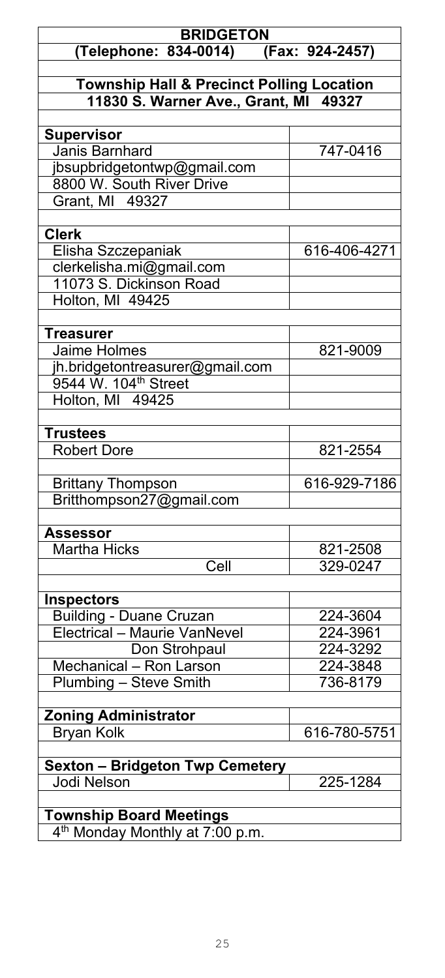| <b>BRIDGETON</b><br>(Telephone: 834-0014) (Fax: 924-2457)                                     |              |
|-----------------------------------------------------------------------------------------------|--------------|
|                                                                                               |              |
| <b>Township Hall &amp; Precinct Polling Location</b><br>11830 S. Warner Ave., Grant, MI 49327 |              |
|                                                                                               |              |
| <b>Supervisor</b>                                                                             |              |
| <b>Janis Barnhard</b>                                                                         | 747-0416     |
| ibsupbridgetontwp@gmail.com                                                                   |              |
| 8800 W. South River Drive                                                                     |              |
| Grant, MI 49327                                                                               |              |
|                                                                                               |              |
| <b>Clerk</b>                                                                                  |              |
| Elisha Szczepaniak                                                                            | 616-406-4271 |
| clerkelisha.mi@gmail.com                                                                      |              |
| 11073 S. Dickinson Road                                                                       |              |
| Holton, MI 49425                                                                              |              |
| <b>Treasurer</b>                                                                              |              |
| <b>Jaime Holmes</b>                                                                           | 821-9009     |
| jh.bridgetontreasurer@gmail.com                                                               |              |
| 9544 W. 104 <sup>th</sup> Street                                                              |              |
| Holton, MI 49425                                                                              |              |
|                                                                                               |              |
| <b>Trustees</b>                                                                               |              |
| <b>Robert Dore</b>                                                                            | 821-2554     |
|                                                                                               |              |
| <b>Brittany Thompson</b>                                                                      | 616-929-7186 |
| Britthompson27@gmail.com                                                                      |              |
|                                                                                               |              |
| <b>Assessor</b>                                                                               |              |
| <b>Martha Hicks</b>                                                                           | 821-2508     |
| Cell                                                                                          | 329-0247     |
| <b>Inspectors</b>                                                                             |              |
| <b>Building - Duane Cruzan</b>                                                                | 224-3604     |
| Electrical - Maurie VanNevel                                                                  | 224-3961     |
| Don Strohpaul                                                                                 | 224-3292     |
| Mechanical - Ron Larson                                                                       | 224-3848     |
| Plumbing - Steve Smith                                                                        | 736-8179     |
|                                                                                               |              |
| <b>Zoning Administrator</b>                                                                   |              |
| <b>Bryan Kolk</b>                                                                             | 616-780-5751 |
|                                                                                               |              |
| <b>Sexton - Bridgeton Twp Cemetery</b>                                                        |              |
| <b>Jodi Nelson</b>                                                                            | 225-1284     |
| <b>Township Board Meetings</b>                                                                |              |
| 4 <sup>th</sup> Monday Monthly at 7:00 p.m.                                                   |              |
|                                                                                               |              |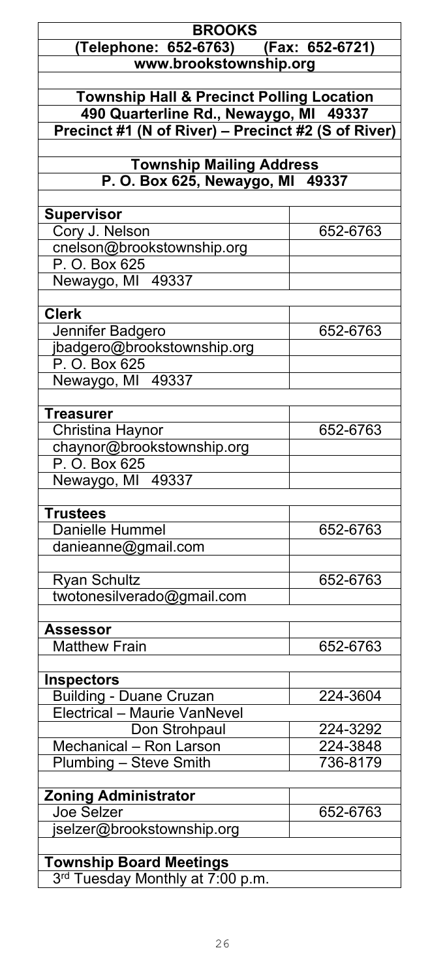| <b>BROOKS</b>                                                                                 |          |
|-----------------------------------------------------------------------------------------------|----------|
| (Telephone: 652-6763) (Fax: 652-6721)                                                         |          |
| www.brookstownship.org                                                                        |          |
|                                                                                               |          |
| <b>Township Hall &amp; Precinct Polling Location</b>                                          |          |
| 490 Quarterline Rd., Newaygo, MI 49337<br>Precinct #1 (N of River) - Precinct #2 (S of River) |          |
|                                                                                               |          |
| <b>Township Mailing Address</b>                                                               |          |
| P. O. Box 625, Newaygo, MI 49337                                                              |          |
|                                                                                               |          |
| <b>Supervisor</b>                                                                             |          |
| Cory J. Nelson                                                                                | 652-6763 |
| cnelson@brookstownship.org                                                                    |          |
| P. O. Box 625<br>Newaygo, MI 49337                                                            |          |
|                                                                                               |          |
| <b>Clerk</b>                                                                                  |          |
| Jennifer Badgero                                                                              | 652-6763 |
| jbadgero@brookstownship.org                                                                   |          |
| P. O. Box 625                                                                                 |          |
| Newaygo, MI 49337                                                                             |          |
|                                                                                               |          |
| <b>Treasurer</b>                                                                              | 652-6763 |
| Christina Haynor<br>chaynor@brookstownship.org                                                |          |
| P. O. Box 625                                                                                 |          |
| Newaygo, MI 49337                                                                             |          |
|                                                                                               |          |
| <b>Trustees</b>                                                                               |          |
| Danielle Hummel                                                                               | 652-6763 |
| danieanne@gmail.com                                                                           |          |
|                                                                                               |          |
| <b>Ryan Schultz</b>                                                                           | 652-6763 |
| twotonesilverado@gmail.com                                                                    |          |
| <b>Assessor</b>                                                                               |          |
| <b>Matthew Frain</b>                                                                          | 652-6763 |
|                                                                                               |          |
| <b>Inspectors</b>                                                                             |          |
| Building - Duane Cruzan                                                                       | 224-3604 |
| Electrical - Maurie VanNevel                                                                  |          |
| Don Strohpaul                                                                                 | 224-3292 |
| Mechanical - Ron Larson                                                                       | 224-3848 |
| Plumbing - Steve Smith                                                                        | 736-8179 |
| <b>Zoning Administrator</b>                                                                   |          |
| <b>Joe Selzer</b>                                                                             | 652-6763 |
| jselzer@brookstownship.org                                                                    |          |
|                                                                                               |          |
| <b>Township Board Meetings</b>                                                                |          |
| 3rd Tuesday Monthly at 7:00 p.m.                                                              |          |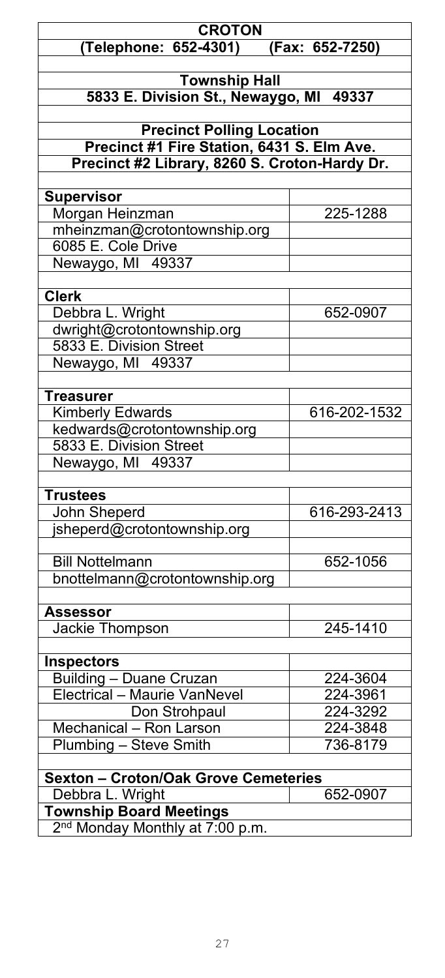| <b>CROTON</b><br>(Telephone: 652-4301)<br>$(Fax: 652-7250)$ |              |
|-------------------------------------------------------------|--------------|
|                                                             |              |
| <b>Township Hall</b>                                        |              |
| 5833 E. Division St., Newaygo, MI 49337                     |              |
|                                                             |              |
| <b>Precinct Polling Location</b>                            |              |
| Precinct #1 Fire Station, 6431 S. Elm Ave.                  |              |
| Precinct #2 Library, 8260 S. Croton-Hardy Dr.               |              |
|                                                             |              |
| Supervisor                                                  |              |
| Morgan Heinzman                                             | 225-1288     |
| mheinzman@crotontownship.org                                |              |
| 6085 E. Cole Drive                                          |              |
| Newaygo, MI 49337                                           |              |
|                                                             |              |
| <b>Clerk</b>                                                |              |
| Debbra L. Wright                                            | 652-0907     |
| dwright@crotontownship.org                                  |              |
| 5833 E. Division Street                                     |              |
| Newaygo, MI 49337                                           |              |
|                                                             |              |
| <b>Treasurer</b>                                            |              |
| <b>Kimberly Edwards</b>                                     | 616-202-1532 |
| kedwards@crotontownship.org                                 |              |
| 5833 E. Division Street                                     |              |
| Newaygo, MI 49337                                           |              |
|                                                             |              |
| <b>Trustees</b>                                             |              |
| <b>John Sheperd</b>                                         | 616-293-2413 |
| jsheperd@crotontownship.org                                 |              |
|                                                             |              |
| <b>Bill Nottelmann</b>                                      | 652-1056     |
| bnottelmann@crotontownship.org                              |              |
|                                                             |              |
| <b>Assessor</b>                                             |              |
| Jackie Thompson                                             | 245-1410     |
|                                                             |              |
| <b>Inspectors</b>                                           |              |
| <b>Building - Duane Cruzan</b>                              | 224-3604     |
| Electrical - Maurie VanNevel                                | 224-3961     |
| Don Strohpaul                                               | 224-3292     |
| Mechanical - Ron Larson                                     | 224-3848     |
| Plumbing - Steve Smith                                      | 736-8179     |
|                                                             |              |
| <b>Sexton - Croton/Oak Grove Cemeteries</b>                 |              |
| Debbra L. Wright                                            | 652-0907     |
| <b>Township Board Meetings</b>                              |              |
| 2 <sup>nd</sup> Monday Monthly at 7:00 p.m.                 |              |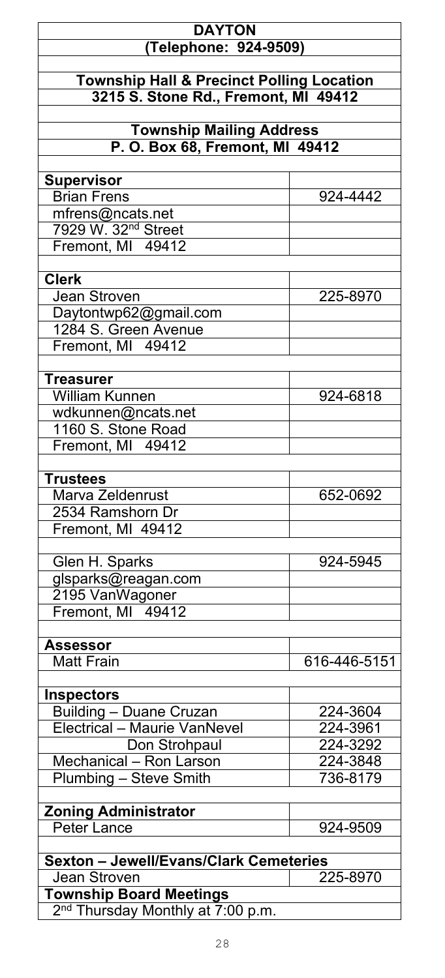### **DAYTON (Telephone: 924-9509)**

### **Township Hall & Precinct Polling Location 3215 S. Stone Rd., Fremont, MI 49412**

### **Township Mailing Address P. O. Box 68, Fremont, MI 49412**

| <b>Supervisor</b>                             |              |
|-----------------------------------------------|--------------|
| <b>Brian Frens</b>                            | 924-4442     |
| mfrens@ncats.net                              |              |
| 7929 W. 32 <sup>nd</sup> Street               |              |
| Fremont, MI 49412                             |              |
|                                               |              |
| <b>Clerk</b>                                  |              |
| <b>Jean Stroven</b>                           | 225-8970     |
| Daytontwp62@gmail.com                         |              |
| 1284 S. Green Avenue                          |              |
| Fremont, MI 49412                             |              |
|                                               |              |
| <b>Treasurer</b>                              |              |
| <b>William Kunnen</b>                         | 924-6818     |
|                                               |              |
| wdkunnen@ncats.net                            |              |
| 1160 S. Stone Road                            |              |
| Fremont, MI 49412                             |              |
|                                               |              |
| <b>Trustees</b>                               |              |
| Marva Zeldenrust                              | 652-0692     |
| 2534 Ramshorn Dr                              |              |
| Fremont, MI 49412                             |              |
|                                               |              |
| Glen H. Sparks                                | 924-5945     |
| glsparks@reagan.com                           |              |
| 2195 VanWagoner                               |              |
| Fremont, MI 49412                             |              |
|                                               |              |
| <b>Assessor</b>                               |              |
| <b>Matt Frain</b>                             | 616-446-5151 |
|                                               |              |
| <b>Inspectors</b>                             |              |
| <b>Building - Duane Cruzan</b>                | 224-3604     |
| Electrical - Maurie VanNevel                  | 224-3961     |
| Don Strohpaul                                 | 224-3292     |
| Mechanical - Ron Larson                       | 224-3848     |
|                                               |              |
| Plumbing - Steve Smith                        | 736-8179     |
|                                               |              |
| <b>Zoning Administrator</b>                   |              |
| Peter Lance                                   | 924-9509     |
|                                               |              |
| <b>Sexton - Jewell/Evans/Clark Cemeteries</b> |              |
| <b>Jean Stroven</b>                           | 225-8970     |
| <b>Township Board Meetings</b>                |              |
| 2 <sup>nd</sup> Thursday Monthly at 7:00 p.m. |              |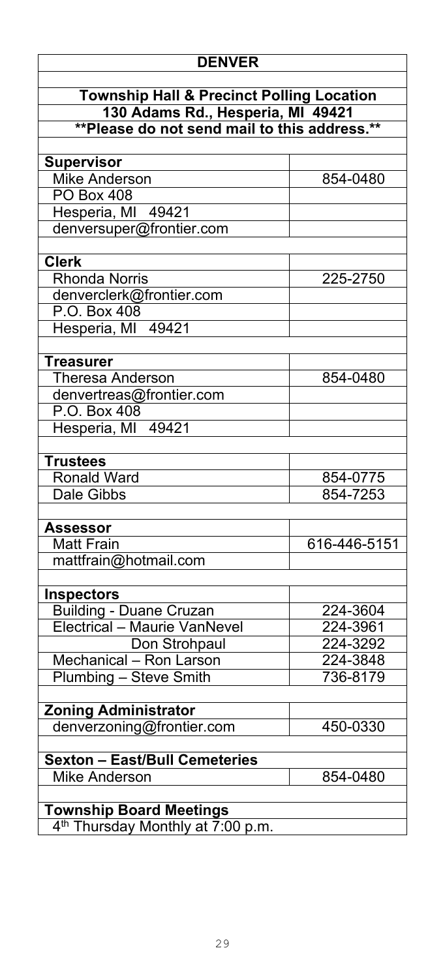| <b>DENVER</b>                                         |              |
|-------------------------------------------------------|--------------|
| <b>Township Hall &amp; Precinct Polling Location</b>  |              |
| 130 Adams Rd., Hesperia, MI 49421                     |              |
| **Please do not send mail to this address.**          |              |
|                                                       |              |
| <b>Supervisor</b>                                     |              |
| <b>Mike Anderson</b>                                  | 854-0480     |
| <b>PO Box 408</b>                                     |              |
| Hesperia, MI 49421                                    |              |
| denversuper@frontier.com                              |              |
|                                                       |              |
| <b>Clerk</b>                                          |              |
| <b>Rhonda Norris</b>                                  | 225-2750     |
| denverclerk@frontier.com                              |              |
| P.O. Box 408                                          |              |
| Hesperia, MI 49421                                    |              |
|                                                       |              |
| <b>Treasurer</b>                                      |              |
| <b>Theresa Anderson</b>                               | 854-0480     |
| denvertreas@frontier.com<br>$\overline{P.O.}$ Box 408 |              |
| Hesperia, MI 49421                                    |              |
|                                                       |              |
| <b>Trustees</b>                                       |              |
| <b>Ronald Ward</b>                                    | 854-0775     |
| Dale Gibbs                                            | 854-7253     |
|                                                       |              |
| <b>Assessor</b>                                       |              |
| <b>Matt Frain</b>                                     | 616-446-5151 |
| mattfrain@hotmail.com                                 |              |
|                                                       |              |
| <b>Inspectors</b>                                     |              |
| <b>Building - Duane Cruzan</b>                        | 224-3604     |
| Electrical - Maurie VanNevel                          | 224-3961     |
| Don Strohpaul                                         | 224-3292     |
| Mechanical - Ron Larson                               | 224-3848     |
| Plumbing - Steve Smith                                | 736-8179     |
|                                                       |              |
| <b>Zoning Administrator</b>                           |              |
| denverzoning@frontier.com                             | 450-0330     |
|                                                       |              |
| <b>Sexton - East/Bull Cemeteries</b>                  |              |
| <b>Mike Anderson</b>                                  | 854-0480     |
| <b>Township Board Meetings</b>                        |              |
| 4 <sup>th</sup> Thursday Monthly at 7:00 p.m.         |              |
|                                                       |              |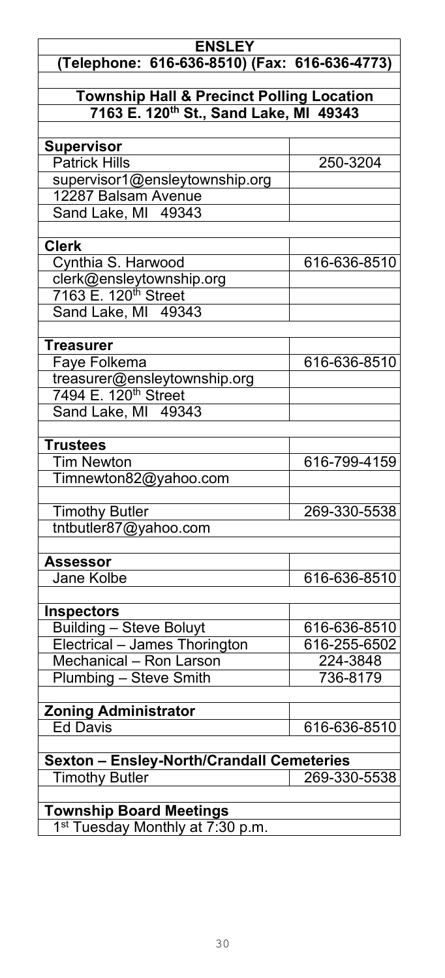### **ENSLEY (Telephone: 616-636-8510) (Fax: 616-636-4773) Township Hall & Precinct Polling Location 7163 E. 120th St., Sand Lake, MI 49343 Supervisor** Patrick Hills 250-3204 supervisor1@ensleytownship.org 12287 Balsam Avenue Sand Lake, MI 49343 **Clerk** Cynthia S. Harwood 616-636-8510 clerk@ensleytownship.org 7163 E. 120<sup>th</sup> Street Sand Lake, MI 49343 **Treasurer** Faye Folkema 616-636-8510 treasurer@ensleytownship.org 7494 E. 120<sup>th</sup> Street Sand Lake, MI 49343 **Trustees** 616-799-4159 Timnewton82@yahoo.com Timothy Butler 269-330-5538 tntbutler87@yahoo.com **Assessor** 616-636-8510 **Inspectors** Building – Steve Boluyt 616-636-8510<br>Electrical – James Thorington 616-255-6502 Electrical – James Thorington 616-255-650<br>Mechanical – Ron Larson 6224-3848 Mechanical – Ron Larson **Plumbing – Steve Smith 736-8179 Zoning Administrator** 616-636-8510 **Sexton – Ensley-North/Crandall Cemeteries Timothy Butler Township Board Meetings**

1<sup>st</sup> Tuesday Monthly at 7:30 p.m.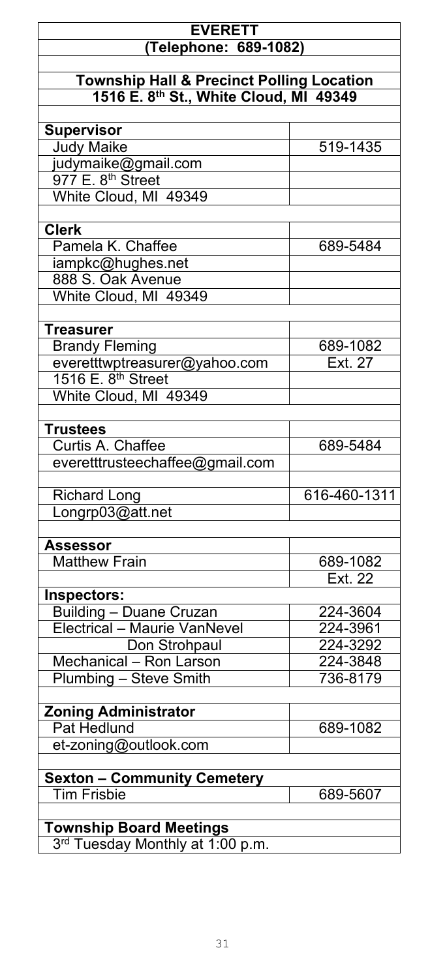### **EVERETT (Telephone: 689-1082)**

### **Township Hall & Precinct Polling Location 1516 E. 8th St., White Cloud, MI 49349**

| <b>Supervisor</b>                                              |              |
|----------------------------------------------------------------|--------------|
| <b>Judy Maike</b>                                              | 519-1435     |
| judymaike@gmail.com                                            |              |
| 977E. 8 <sup>th</sup> Street                                   |              |
| White Cloud, MI 49349                                          |              |
|                                                                |              |
| <b>Clerk</b>                                                   |              |
| Pamela K. Chaffee                                              | 689-5484     |
| iampkc@hughes.net                                              |              |
| 888 S. Oak Avenue                                              |              |
| White Cloud, MI 49349                                          |              |
|                                                                |              |
| <b>Treasurer</b>                                               |              |
|                                                                | 689-1082     |
| <b>Brandy Fleming</b>                                          |              |
| everetttwptreasurer@yahoo.com                                  | Ext. 27      |
| 1516 E. 8 <sup>th</sup> Street                                 |              |
| White Cloud, MI 49349                                          |              |
|                                                                |              |
| <b>Trustees</b>                                                |              |
| Curtis A. Chaffee                                              | 689-5484     |
| everetttrusteechaffee@gmail.com                                |              |
|                                                                |              |
|                                                                |              |
| <b>Richard Long</b>                                            | 616-460-1311 |
| Longrp03@att.net                                               |              |
|                                                                |              |
| Assessor                                                       |              |
| <b>Matthew Frain</b>                                           | 689-1082     |
|                                                                | Ext. 22      |
| Inspectors:                                                    |              |
|                                                                | 224-3604     |
| <b>Building - Duane Cruzan</b><br>Electrical - Maurie VanNevel | 224-3961     |
| Don Strohpaul                                                  | 224-3292     |
|                                                                | 224-3848     |
| Mechanical - Ron Larson                                        |              |
| Plumbing - Steve Smith                                         | 736-8179     |
|                                                                |              |
| <b>Zoning Administrator</b><br>Pat Hedlund                     | 689-1082     |
|                                                                |              |
| et-zoning@outlook.com                                          |              |
|                                                                |              |
| <b>Sexton - Community Cemetery</b><br><b>Tim Frisbie</b>       | 689-5607     |
|                                                                |              |
| <b>Township Board Meetings</b>                                 |              |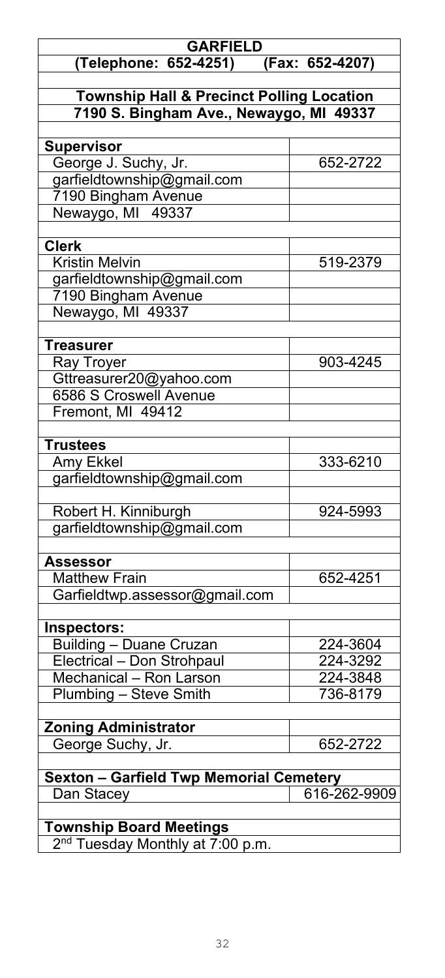| <b>GARFIELD</b>                                      |                 |
|------------------------------------------------------|-----------------|
| (Telephone: 652-4251)                                | (Fax: 652-4207) |
|                                                      |                 |
| <b>Township Hall &amp; Precinct Polling Location</b> |                 |
| 7190 S. Bingham Ave., Newaygo, MI 49337              |                 |
|                                                      |                 |
| <b>Supervisor</b>                                    |                 |
| George J. Suchy, Jr.                                 | 652-2722        |
| garfieldtownship@gmail.com                           |                 |
| 7190 Bingham Avenue                                  |                 |
| Newaygo, MI 49337                                    |                 |
|                                                      |                 |
| <b>Clerk</b>                                         |                 |
| Kristin Melvin                                       | 519-2379        |
| garfieldtownship@gmail.com                           |                 |
| 7190 Bingham Avenue                                  |                 |
| Newaygo, MI 49337                                    |                 |
|                                                      |                 |
| <b>Treasurer</b>                                     |                 |
| Ray Troyer                                           | 903-4245        |
| Gttreasurer20@yahoo.com                              |                 |
| <b>6586 S Croswell Avenue</b>                        |                 |
| Fremont, MI 49412                                    |                 |
|                                                      |                 |
| <b>Trustees</b>                                      |                 |
| Amy Ekkel                                            | 333-6210        |
| garfieldtownship@gmail.com                           |                 |
|                                                      |                 |
| Robert H. Kinniburgh                                 | 924-5993        |
| garfieldtownship@gmail.com                           |                 |
|                                                      |                 |
| Assessor<br><b>Matthew Frain</b>                     | 652-4251        |
| Garfieldtwp.assessor@gmail.com                       |                 |
|                                                      |                 |
| Inspectors:                                          |                 |
| <b>Building - Duane Cruzan</b>                       | 224-3604        |
| Electrical - Don Strohpaul                           | 224-3292        |
| Mechanical - Ron Larson                              | 224-3848        |
| Plumbing - Steve Smith                               | 736-8179        |
|                                                      |                 |
| <b>Zoning Administrator</b>                          |                 |
| George Suchy, Jr.                                    | 652-2722        |
|                                                      |                 |
| <b>Sexton - Garfield Twp Memorial Cemetery</b>       |                 |
| Dan Stacey                                           | 616-262-9909    |
|                                                      |                 |
| <b>Township Board Meetings</b>                       |                 |
| 2 <sup>nd</sup> Tuesday Monthly at 7:00 p.m.         |                 |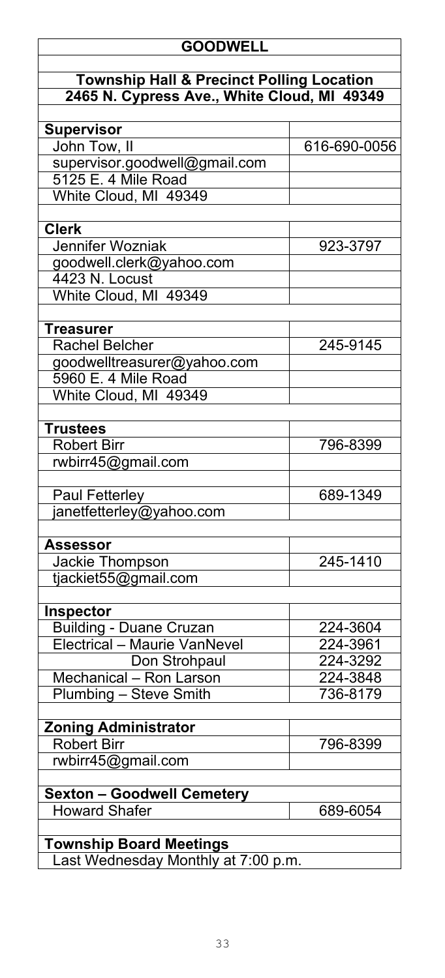### **GOODWELL**

### **Township Hall & Precinct Polling Location 2465 N. Cypress Ave., White Cloud, MI 49349**

| <b>Supervisor</b>                   |              |
|-------------------------------------|--------------|
| John Tow, II                        | 616-690-0056 |
| supervisor.goodwell@gmail.com       |              |
| 5125 E. 4 Mile Road                 |              |
| White Cloud, MI 49349               |              |
| <b>Clerk</b>                        |              |
|                                     |              |
| Jennifer Wozniak                    | 923-3797     |
| goodwell.clerk@yahoo.com            |              |
| 4423 N. Locust                      |              |
| White Cloud, MI 49349               |              |
| <b>Treasurer</b>                    |              |
| <b>Rachel Belcher</b>               | 245-9145     |
| goodwelltreasurer@yahoo.com         |              |
| 5960 E. 4 Mile Road                 |              |
| White Cloud, MI 49349               |              |
|                                     |              |
| <b>Trustees</b>                     |              |
| <b>Robert Birr</b>                  | 796-8399     |
| rwbirr45@gmail.com                  |              |
|                                     |              |
| <b>Paul Fetterley</b>               | 689-1349     |
| janetfetterley@yahoo.com            |              |
| <b>Assessor</b>                     |              |
| Jackie Thompson                     | 245-1410     |
| tjackiet55@gmail.com                |              |
|                                     |              |
| Inspector                           |              |
| <b>Building - Duane Cruzan</b>      | 224-3604     |
| Electrical - Maurie VanNevel        | 224-3961     |
| Don Strohpaul                       | 224-3292     |
| Mechanical - Ron Larson             | 224-3848     |
| Plumbing - Steve Smith              | 736-8179     |
|                                     |              |
| <b>Zoning Administrator</b>         |              |
| <b>Robert Birr</b>                  | 796-8399     |
| rwbirr45@gmail.com                  |              |
|                                     |              |
| <b>Sexton - Goodwell Cemetery</b>   |              |
| <b>Howard Shafer</b>                | 689-6054     |
|                                     |              |
| <b>Township Board Meetings</b>      |              |
| Last Wednesday Monthly at 7:00 p.m. |              |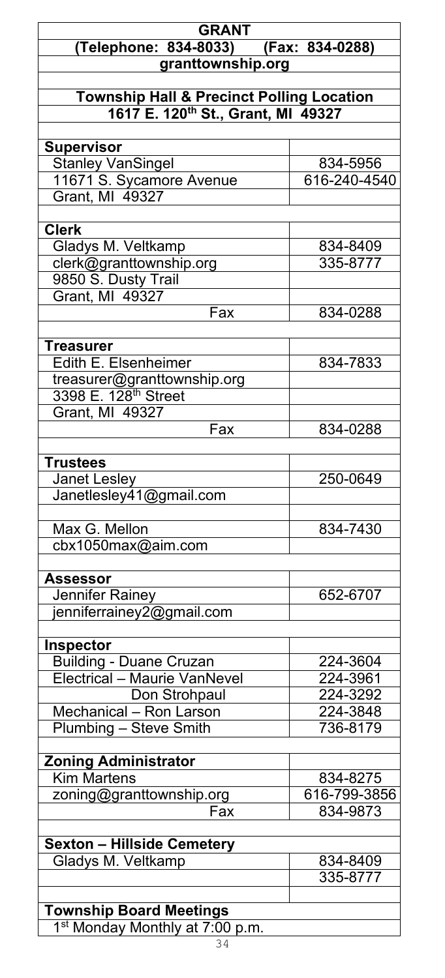## **GRANT (Telephone: 834-8033) (Fax: 834-0288) granttownship.org**

### **Township Hall & Precinct Polling Location 1617 E. 120th St., Grant, MI 49327**

| <b>Supervisor</b>                            |              |
|----------------------------------------------|--------------|
| <b>Stanley VanSingel</b>                     | 834-5956     |
| 11671 S. Sycamore Avenue                     | 616-240-4540 |
| Grant, MI 49327                              |              |
|                                              |              |
| <b>Clerk</b>                                 |              |
| Gladys M. Veltkamp                           | 834-8409     |
| clerk@granttownship.org                      | 335-8777     |
| 9850 S. Dusty Trail                          |              |
| Grant, MI 49327                              |              |
| Fax                                          | 834-0288     |
|                                              |              |
| <b>Treasurer</b>                             |              |
| Edith E. Elsenheimer                         | 834-7833     |
| treasurer@granttownship.org                  |              |
| 3398 E. 128 <sup>th</sup> Street             |              |
| Grant, MI 49327                              |              |
| Fax                                          | 834-0288     |
|                                              |              |
| <b>Trustees</b>                              |              |
| Janet Lesley                                 | 250-0649     |
| Janetlesley41@gmail.com                      |              |
|                                              |              |
| Max G. Mellon                                | 834-7430     |
|                                              |              |
| cbx1050max@aim.com                           |              |
|                                              |              |
| Assessor                                     |              |
| Jennifer Rainey<br>jenniferrainey2@gmail.com | 652-6707     |
|                                              |              |
|                                              |              |
| Inspector                                    |              |
| <b>Building - Duane Cruzan</b>               | 224-3604     |
| Electrical - Maurie VanNevel                 | 224-3961     |
| Don Strohpaul                                | 224-3292     |
| Mechanical - Ron Larson                      | 224-3848     |
| Plumbing - Steve Smith                       | 736-8179     |
|                                              |              |
| <b>Zoning Administrator</b>                  |              |
| <b>Kim Martens</b>                           | 834-8275     |
| zoning@granttownship.org                     | 616-799-3856 |
| Fax                                          | 834-9873     |
|                                              |              |
| <b>Sexton - Hillside Cemetery</b>            |              |
| Gladys M. Veltkamp                           | 834-8409     |
|                                              | 335-8777     |
|                                              |              |
| <b>Township Board Meetings</b>               |              |
| 1 <sup>st</sup> Monday Monthly at 7:00 p.m.  |              |
|                                              |              |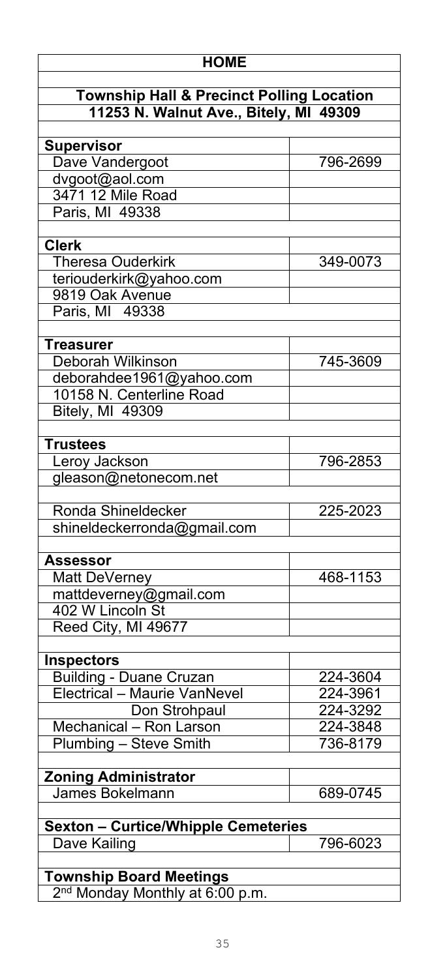### **HOME**

| <b>Township Hall &amp; Precinct Polling Location</b> |  |
|------------------------------------------------------|--|
| 11253 N. Walnut Ave., Bitely, MI 49309               |  |

| <b>Supervisor</b>                          |          |
|--------------------------------------------|----------|
| Dave Vandergoot                            | 796-2699 |
| dvgoot@aol.com                             |          |
| 3471 12 Mile Road                          |          |
| Paris, MI 49338                            |          |
|                                            |          |
| <b>Clerk</b>                               |          |
| <b>Theresa Ouderkirk</b>                   | 349-0073 |
| teriouderkirk@yahoo.com                    |          |
| 9819 Oak Avenue                            |          |
| Paris, MI 49338                            |          |
|                                            |          |
|                                            |          |
| <b>Treasurer</b>                           |          |
| Deborah Wilkinson                          | 745-3609 |
| deborahdee1961@yahoo.com                   |          |
| 10158 N. Centerline Road                   |          |
| <b>Bitely, MI 49309</b>                    |          |
|                                            |          |
| <b>Trustees</b>                            |          |
| Leroy Jackson                              | 796-2853 |
| gleason@netonecom.net                      |          |
|                                            |          |
| Ronda Shineldecker                         | 225-2023 |
| shineldeckerronda@gmail.com                |          |
|                                            |          |
| Assessor                                   |          |
| Matt DeVerney                              | 468-1153 |
| mattdeverney@gmail.com                     |          |
| 402 W Lincoln St                           |          |
| Reed City, MI 49677                        |          |
|                                            |          |
| <b>Inspectors</b>                          |          |
| <b>Building - Duane Cruzan</b>             | 224-3604 |
| <b>Electrical - Maurie VanNevel</b>        | 224-3961 |
|                                            |          |
| Don Strohpaul                              | 224-3292 |
| Mechanical - Ron Larson                    | 224-3848 |
| Plumbing - Steve Smith                     | 736-8179 |
|                                            |          |
| <b>Zoning Administrator</b>                |          |
| <b>James Bokelmann</b>                     | 689-0745 |
|                                            |          |
| <b>Sexton - Curtice/Whipple Cemeteries</b> |          |
| Dave Kailing                               | 796-6023 |
|                                            |          |
| <b>Township Board Meetings</b>             |          |

2<sup>nd</sup> Monday Monthly at 6:00 p.m.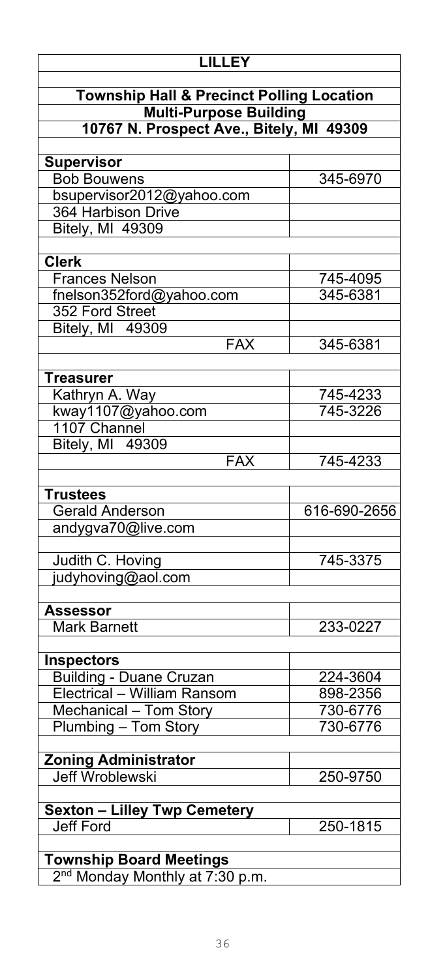| <b>LILLEY</b>                                                                         |  |
|---------------------------------------------------------------------------------------|--|
| <b>Township Hall &amp; Precinct Polling Location</b><br><b>Multi-Purpose Building</b> |  |
| 10767 N. Prospect Ave., Bitely, MI 49309                                              |  |
|                                                                                       |  |
| 345-6970                                                                              |  |
|                                                                                       |  |
|                                                                                       |  |
|                                                                                       |  |
|                                                                                       |  |
|                                                                                       |  |
| 745-4095                                                                              |  |
| 345-6381                                                                              |  |
|                                                                                       |  |
|                                                                                       |  |
| 345-6381                                                                              |  |
|                                                                                       |  |
| 745-4233                                                                              |  |
| 745-3226                                                                              |  |
|                                                                                       |  |
|                                                                                       |  |
| 745-4233                                                                              |  |
|                                                                                       |  |
|                                                                                       |  |
| 616-690-2656                                                                          |  |
|                                                                                       |  |
|                                                                                       |  |
| 745-3375                                                                              |  |
|                                                                                       |  |
|                                                                                       |  |
| 233-0227                                                                              |  |
|                                                                                       |  |
|                                                                                       |  |
| 224-3604                                                                              |  |
| 898-2356                                                                              |  |
| 730-6776                                                                              |  |
| 730-6776                                                                              |  |
|                                                                                       |  |
|                                                                                       |  |
| 250-9750                                                                              |  |
|                                                                                       |  |
| 250-1815                                                                              |  |
|                                                                                       |  |
|                                                                                       |  |
|                                                                                       |  |
|                                                                                       |  |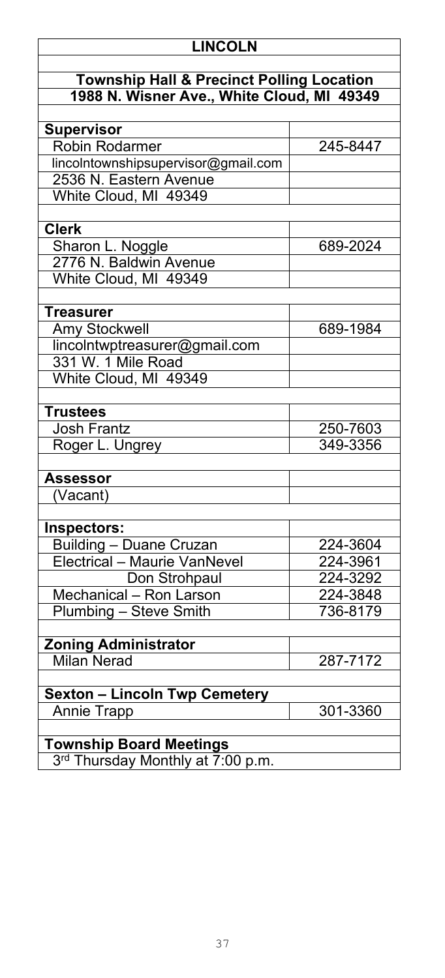### **LINCOLN**

### **Township Hall & Precinct Polling Location 1988 N. Wisner Ave., White Cloud, MI 49349**

| <b>Supervisor</b>                                                   |          |
|---------------------------------------------------------------------|----------|
| <b>Robin Rodarmer</b>                                               | 245-8447 |
| lincolntownshipsupervisor@gmail.com                                 |          |
| 2536 N. Eastern Avenue                                              |          |
| White Cloud, MI 49349                                               |          |
|                                                                     |          |
| <b>Clerk</b>                                                        |          |
| Sharon L. Noggle                                                    | 689-2024 |
| 2776 N. Baldwin Avenue                                              |          |
| White Cloud, MI 49349                                               |          |
|                                                                     |          |
| <b>Treasurer</b>                                                    |          |
| <b>Amy Stockwell</b>                                                | 689-1984 |
| lincolntwptreasurer@gmail.com                                       |          |
| 331 W. 1 Mile Road                                                  |          |
| White Cloud, MI 49349                                               |          |
|                                                                     |          |
| <b>Trustees</b>                                                     |          |
| <b>Josh Frantz</b>                                                  | 250-7603 |
| Roger L. Ungrey                                                     | 349-3356 |
|                                                                     |          |
| Assessor                                                            |          |
| Vacant)                                                             |          |
|                                                                     |          |
| Inspectors:                                                         |          |
| <b>Building - Duane Cruzan</b>                                      | 224-3604 |
| Electrical - Maurie VanNevel                                        | 224-3961 |
| Don Strohpaul                                                       | 224-3292 |
| Mechanical - Ron Larson                                             | 224-3848 |
| Plumbing - Steve Smith                                              | 736-8179 |
|                                                                     |          |
| <b>Zoning Administrator</b>                                         |          |
| <b>Milan Nerad</b>                                                  | 287-7172 |
|                                                                     |          |
| <b>Sexton - Lincoln Twp Cemetery</b>                                |          |
| <b>Annie Trapp</b>                                                  | 301-3360 |
|                                                                     |          |
|                                                                     |          |
|                                                                     |          |
| <b>Township Board Meetings</b><br>3rd Thursday Monthly at 7:00 p.m. |          |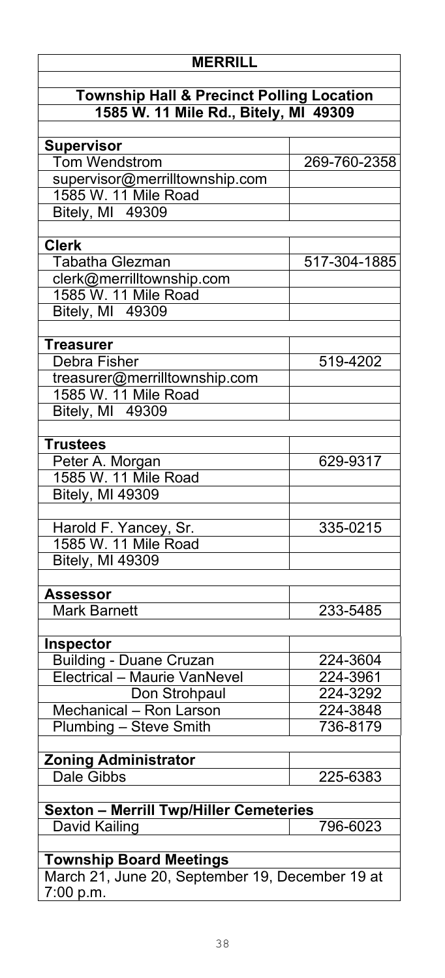| <b>MERRILL</b>                                       |              |
|------------------------------------------------------|--------------|
|                                                      |              |
| <b>Township Hall &amp; Precinct Polling Location</b> |              |
| 1585 W. 11 Mile Rd., Bitely, MI 49309                |              |
| <b>Supervisor</b>                                    |              |
| <b>Tom Wendstrom</b>                                 | 269-760-2358 |
| supervisor@merrilltownship.com                       |              |
| 1585 W. 11 Mile Road                                 |              |
| <b>Bitely, MI 49309</b>                              |              |
|                                                      |              |
| <b>Clerk</b>                                         |              |
| <b>Tabatha Glezman</b>                               | 517-304-1885 |
| clerk@merrilltownship.com                            |              |
| 1585 W. 11 Mile Road                                 |              |
| <b>Bitely, MI 49309</b>                              |              |
|                                                      |              |
| <b>Treasurer</b>                                     |              |
| Debra Fisher                                         | 519-4202     |
| treasurer@merrilltownship.com                        |              |
| 1585 W. 11 Mile Road                                 |              |
| Bitely, MI 49309                                     |              |
|                                                      |              |
| <b>Trustees</b>                                      | 629-9317     |
| Peter A. Morgan<br>1585 W. 11 Mile Road              |              |
| <b>Bitely, MI 49309</b>                              |              |
|                                                      |              |
| Harold F. Yancey, Sr.                                | 335-0215     |
| 1585 W. 11 Mile Road                                 |              |
| <b>Bitely, MI 49309</b>                              |              |
|                                                      |              |
| Assessor                                             |              |
| Mark Barnett                                         | 233-5485     |
|                                                      |              |
| <b>Inspector</b>                                     |              |
| <b>Building - Duane Cruzan</b>                       | 224-3604     |
| Electrical - Maurie VanNevel                         | 224-3961     |
| Don Strohpaul                                        | 224-3292     |
| Mechanical - Ron Larson                              | 224-3848     |
| Plumbing - Steve Smith                               | 736-8179     |
|                                                      |              |
| <b>Zoning Administrator</b>                          |              |
| <b>Dale Gibbs</b>                                    | 225-6383     |
| <b>Sexton - Merrill Twp/Hiller Cemeteries</b>        |              |
| David Kailing                                        | 796-6023     |
|                                                      |              |
| <b>Township Board Meetings</b>                       |              |
| March 21, June 20, September 19, December 19 at      |              |
| 7:00 p.m.                                            |              |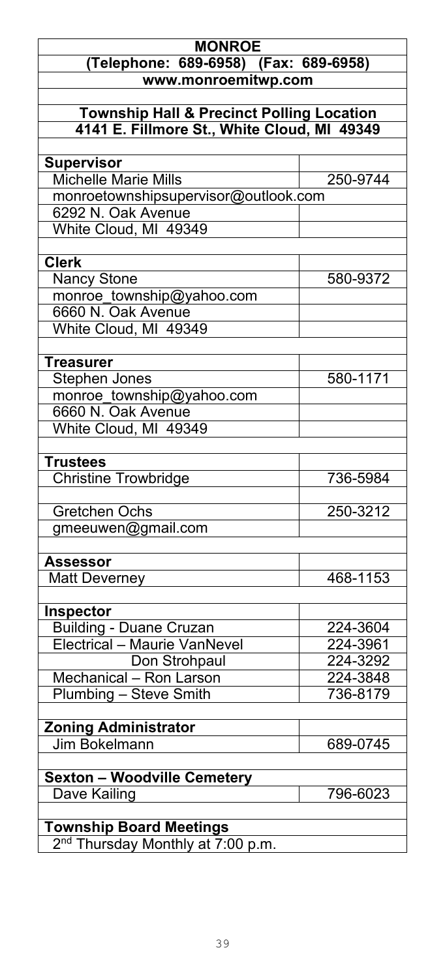### **MONROE (Telephone: 689-6958) (Fax: 689-6958) www.monroemitwp.com**

### **Township Hall & Precinct Polling Location 4141 E. Fillmore St., White Cloud, MI 49349**

| <b>Supervisor</b>                             |          |
|-----------------------------------------------|----------|
| <b>Michelle Marie Mills</b>                   | 250-9744 |
| monroetownshipsupervisor@outlook.com          |          |
| 6292 N. Oak Avenue                            |          |
| White Cloud, MI 49349                         |          |
|                                               |          |
| <b>Clerk</b>                                  |          |
| <b>Nancy Stone</b>                            | 580-9372 |
| monroe township@yahoo.com                     |          |
| 6660 N. Oak Avenue                            |          |
| White Cloud, MI 49349                         |          |
|                                               |          |
| <b>Treasurer</b>                              |          |
| <b>Stephen Jones</b>                          | 580-1171 |
| monroe_township@yahoo.com                     |          |
| 6660 N. Oak Avenue                            |          |
| White Cloud, MI 49349                         |          |
|                                               |          |
| <b>Trustees</b>                               |          |
| <b>Christine Trowbridge</b>                   | 736-5984 |
|                                               |          |
| <b>Gretchen Ochs</b>                          | 250-3212 |
| gmeeuwen@gmail.com                            |          |
|                                               |          |
| <b>Assessor</b>                               |          |
| <b>Matt Deverney</b>                          | 468-1153 |
|                                               |          |
| Inspector                                     |          |
| <b>Building - Duane Cruzan</b>                | 224-3604 |
| Electrical - Maurie VanNevel                  | 224-3961 |
| Don Strohpaul                                 | 224-3292 |
| Mechanical - Ron Larson                       | 224-3848 |
| Plumbing - Steve Smith                        | 736-8179 |
|                                               |          |
| <b>Zoning Administrator</b>                   |          |
| Jim Bokelmann                                 | 689-0745 |
|                                               |          |
| <b>Sexton - Woodville Cemetery</b>            |          |
| Dave Kailing                                  | 796-6023 |
|                                               |          |
| <b>Township Board Meetings</b>                |          |
| 2 <sup>nd</sup> Thursday Monthly at 7:00 p.m. |          |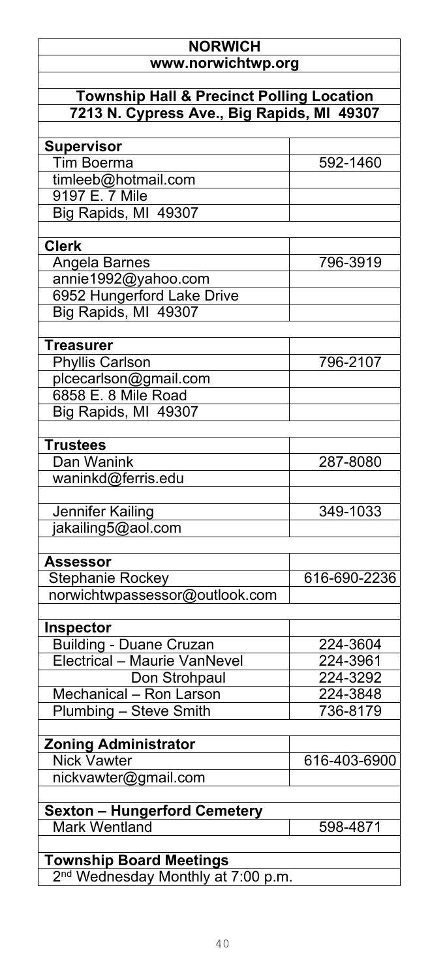### **NORWICH www.norwichtwp.org Township Hall & Precinct Polling Location 7213 N. Cypress Ave., Big Rapids, MI 49307 Supervisor** Tim Boerma 592-1460 timleeb@hotmail.com 9197 E. 7 Mile Big Rapids, MI 49307 **Clerk** Angela Barnes 196-3919 annie1992@yahoo.com 6952 Hungerford Lake Drive Big Rapids, MI 49307 **Treasurer** Phyllis Carlson 796-2107 plcecarlson@gmail.com 6858 E. 8 Mile Road Big Rapids, MI 49307 **Trustees** Dan Wanink 287-8080 waninkd@ferris.edu Jennifer Kailing 349-1033 jakailing5@aol.com **Assessor** Stephanie Rockey | 616-690-2236 norwichtwpassessor@outlook.com **Inspector** Building - Duane Cruzan<br>Electrical – Maurie VanNevel 224-3961 Electrical – Maurie VanNevel 224-3961<br>Don Strohpaul 224-3292 **Don Strohpaul 224-3292**<br>- Ron Larson 224-3848 Mechanical – Ron Larson (b. 1924-2848)<br>Plumbing – Steve Smith (b. 1936-8179) **Plumbing – Steve Smith Zoning Administrator** 616-403-6900 nickvawter@gmail.com **Sexton – Hungerford Cemetery** Mark Wentland 1 598-4871 **Township Board Meetings**

2<sup>nd</sup> Wednesday Monthly at 7:00 p.m.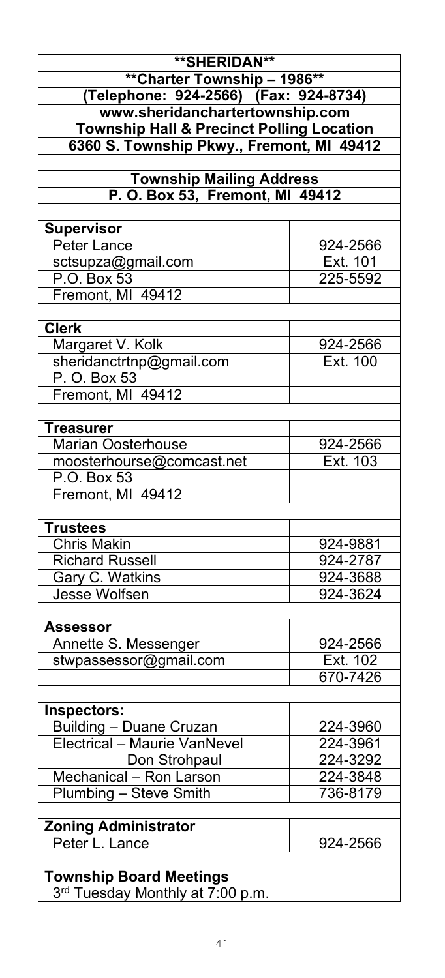| **SHERIDAN**<br><b>**Charter Township - 1986**</b><br>(Telephone: 924-2566) (Fax: 924-8734) |          |
|---------------------------------------------------------------------------------------------|----------|
| www.sheridanchartertownship.com                                                             |          |
| <b>Township Hall &amp; Precinct Polling Location</b>                                        |          |
| 6360 S. Township Pkwy., Fremont, MI 49412                                                   |          |
|                                                                                             |          |
| <b>Township Mailing Address</b>                                                             |          |
| P. O. Box 53, Fremont, MI 49412                                                             |          |
|                                                                                             |          |
| <b>Supervisor</b>                                                                           |          |
| Peter Lance                                                                                 | 924-2566 |
| sctsupza@gmail.com                                                                          | Ext. 101 |
| P.O. Box 53                                                                                 | 225-5592 |
| Fremont, MI 49412                                                                           |          |
|                                                                                             |          |
| <b>Clerk</b>                                                                                |          |
| Margaret V. Kolk                                                                            | 924-2566 |
| sheridanctrtnp@gmail.com                                                                    | Ext. 100 |
| P. O. Box 53                                                                                |          |
| Fremont, MI 49412                                                                           |          |
|                                                                                             |          |
| <b>Treasurer</b>                                                                            |          |
| <b>Marian Oosterhouse</b>                                                                   | 924-2566 |
| moosterhourse@comcast.net                                                                   | Ext. 103 |
| P.O. Box 53                                                                                 |          |
| Fremont, MI 49412                                                                           |          |
|                                                                                             |          |
| <b>Trustees</b>                                                                             |          |
| <b>Chris Makin</b>                                                                          | 924-9881 |
| <b>Richard Russell</b>                                                                      | 924-2787 |
|                                                                                             | 924-3688 |
| Gary C. Watkins                                                                             |          |
| Jesse Wolfsen                                                                               | 924-3624 |
|                                                                                             |          |
| Assessor                                                                                    |          |
| Annette S. Messenger                                                                        | 924-2566 |
| stwpassessor@gmail.com                                                                      | Ext. 102 |
|                                                                                             | 670-7426 |
|                                                                                             |          |
| Inspectors:                                                                                 |          |
| <b>Building - Duane Cruzan</b>                                                              | 224-3960 |
| Electrical - Maurie VanNevel                                                                | 224-3961 |
| Don Strohpaul                                                                               | 224-3292 |
| Mechanical - Ron Larson                                                                     | 224-3848 |
| Plumbing - Steve Smith                                                                      | 736-8179 |
|                                                                                             |          |
| <b>Zoning Administrator</b>                                                                 |          |
| Peter L. Lance                                                                              | 924-2566 |
|                                                                                             |          |
| <b>Township Board Meetings</b>                                                              |          |
| 3rd Tuesday Monthly at 7:00 p.m.                                                            |          |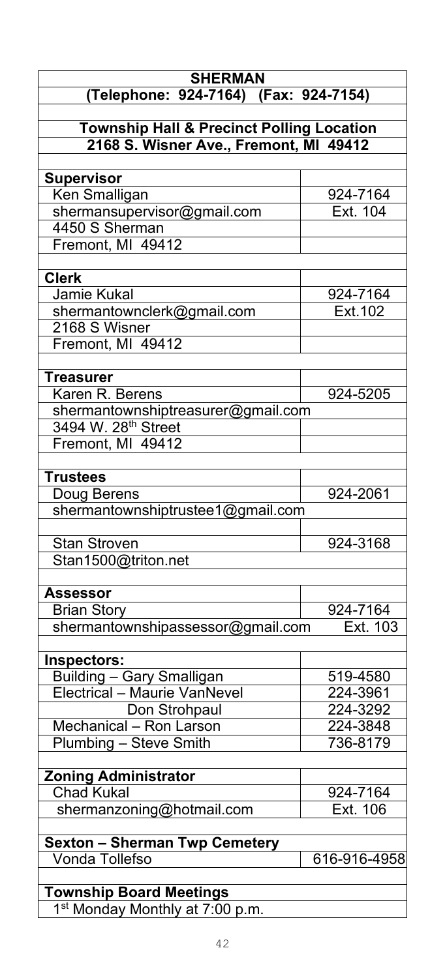| <b>SHERMAN</b>                                       |              |
|------------------------------------------------------|--------------|
| (Telephone: 924-7164) (Fax: 924-7154)                |              |
| <b>Township Hall &amp; Precinct Polling Location</b> |              |
| 2168 S. Wisner Ave., Fremont, MI 49412               |              |
|                                                      |              |
| <b>Supervisor</b>                                    |              |
| Ken Smalligan                                        | 924-7164     |
| shermansupervisor@gmail.com                          | Ext. 104     |
| 4450 S Sherman                                       |              |
| Fremont, MI 49412                                    |              |
| <b>Clerk</b>                                         |              |
| Jamie Kukal                                          | 924-7164     |
| shermantownclerk@gmail.com                           | Ext. 102     |
| 2168 S Wisner                                        |              |
| Fremont, MI 49412                                    |              |
| <b>Treasurer</b>                                     |              |
| Karen R. Berens                                      | 924-5205     |
| shermantownshiptreasurer@gmail.com                   |              |
| 3494 W. 28 <sup>th</sup> Street                      |              |
| Fremont, MI 49412                                    |              |
|                                                      |              |
| <b>Trustees</b>                                      |              |
| Doug Berens                                          | 924-2061     |
| shermantownshiptrustee1@gmail.com                    |              |
| <b>Stan Stroven</b>                                  | 924-3168     |
| Stan1500@triton.net                                  |              |
|                                                      |              |
| <b>Assessor</b>                                      |              |
| <b>Brian Story</b>                                   | 924-7164     |
| shermantownshipassessor@gmail.com                    | Ext. 103     |
| Inspectors:                                          |              |
| <b>Building - Gary Smalligan</b>                     | 519-4580     |
| Electrical - Maurie VanNevel                         | 224-3961     |
| Don Strohpaul                                        | 224-3292     |
| Mechanical - Ron Larson                              | 224-3848     |
| Plumbing - Steve Smith                               | 736-8179     |
|                                                      |              |
| <b>Zoning Administrator</b>                          |              |
| <b>Chad Kukal</b>                                    | 924-7164     |
| shermanzoning@hotmail.com                            | Ext. 106     |
| <b>Sexton - Sherman Twp Cemetery</b>                 |              |
| Vonda Tollefso                                       | 616-916-4958 |
|                                                      |              |
| <b>Township Board Meetings</b>                       |              |
| 1 <sup>st</sup> Monday Monthly at 7:00 p.m.          |              |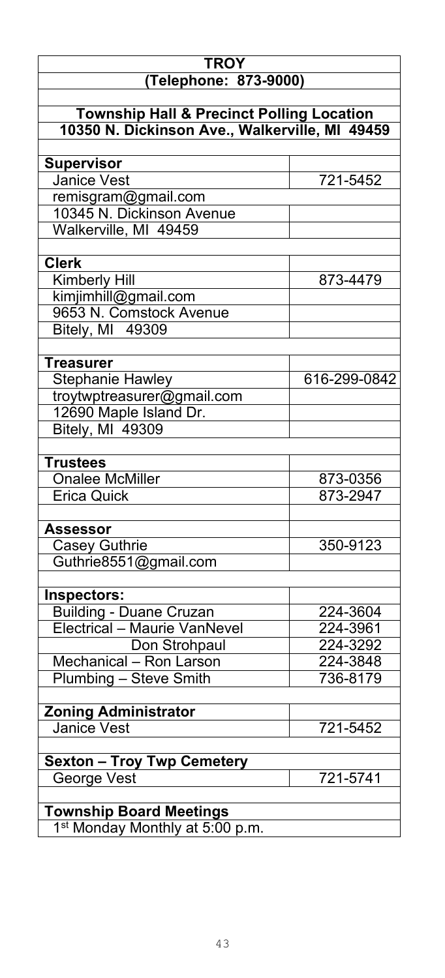| <b>TROY</b>                                          |              |
|------------------------------------------------------|--------------|
| (Telephone: 873-9000)                                |              |
| <b>Township Hall &amp; Precinct Polling Location</b> |              |
| 10350 N. Dickinson Ave., Walkerville, MI 49459       |              |
| <b>Supervisor</b>                                    |              |
| Janice Vest                                          | 721-5452     |
| <u>remisgram@gmail.com</u>                           |              |
| 10345 N. Dickinson Avenue                            |              |
| Walkerville, MI 49459                                |              |
| <b>Clerk</b>                                         |              |
| Kimberly Hill                                        | 873-4479     |
| kimjimhill@gmail.com                                 |              |
| 9653 N. Comstock Avenue                              |              |
| Bitely, MI 49309                                     |              |
| <b>Treasurer</b>                                     |              |
| <b>Stephanie Hawley</b>                              | 616-299-0842 |
| troytwptreasurer@gmail.com                           |              |
| 12690 Maple Island Dr.                               |              |
| Bitely, MI 49309                                     |              |
|                                                      |              |
| <b>Trustees</b>                                      |              |
| <b>Onalee McMiller</b>                               | 873-0356     |
| <b>Erica Quick</b>                                   | 873-2947     |
| <b>Assessor</b>                                      |              |
| <b>Casey Guthrie</b>                                 | 350-9123     |
| Guthrie8551@gmail.com                                |              |
|                                                      |              |
| Inspectors:<br><b>Building - Duane Cruzan</b>        | 224-3604     |
| <b>Electrical - Maurie VanNevel</b>                  | 224-3961     |
| Don Strohpaul                                        | 224-3292     |
| Mechanical - Ron Larson                              | 224-3848     |
| Plumbing - Steve Smith                               | 736-8179     |
|                                                      |              |
| <b>Zoning Administrator</b>                          |              |
| <b>Janice Vest</b>                                   | 721-5452     |
| <b>Sexton - Troy Twp Cemetery</b>                    |              |
| George Vest                                          | 721-5741     |
| <b>Township Board Meetings</b>                       |              |
| 1 <sup>st</sup> Monday Monthly at 5:00 p.m.          |              |
|                                                      |              |

1<sup>st</sup> Monday Monthly at 5:00 p.m.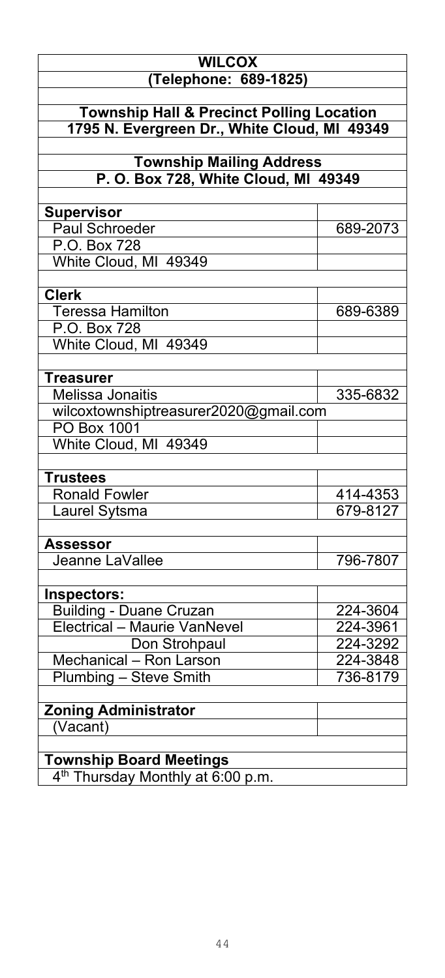| <b>WILCOX</b>                                                           |          |
|-------------------------------------------------------------------------|----------|
| (Telephone: 689-1825)                                                   |          |
|                                                                         |          |
| <b>Township Hall &amp; Precinct Polling Location</b>                    |          |
| 1795 N. Evergreen Dr., White Cloud, MI 49349                            |          |
|                                                                         |          |
| <b>Township Mailing Address</b><br>P. O. Box 728, White Cloud, MI 49349 |          |
|                                                                         |          |
| <b>Supervisor</b>                                                       |          |
| Paul Schroeder                                                          | 689-2073 |
| P.O. Box 728                                                            |          |
| White Cloud, MI 49349                                                   |          |
|                                                                         |          |
| <b>Clerk</b>                                                            |          |
| Teressa Hamilton                                                        | 689-6389 |
| P.O. Box 728                                                            |          |
| White Cloud, MI 49349                                                   |          |
|                                                                         |          |
| <b>Treasurer</b>                                                        |          |
| Melissa Jonaitis                                                        | 335-6832 |
| wilcoxtownshiptreasurer2020@gmail.com                                   |          |
| <b>PO Box 1001</b>                                                      |          |
| White Cloud, MI 49349                                                   |          |
|                                                                         |          |
| <b>Trustees</b>                                                         |          |
| <b>Ronald Fowler</b>                                                    | 414-4353 |
| Laurel Sytsma                                                           | 679-8127 |
|                                                                         |          |
| Assessor<br>Jeanne LaVallee                                             | 796-7807 |
|                                                                         |          |
| Inspectors:                                                             |          |
| <b>Building - Duane Cruzan</b>                                          | 224-3604 |
| Electrical - Maurie VanNevel                                            | 224-3961 |
| Don Strohpaul                                                           | 224-3292 |
| Mechanical - Ron Larson                                                 | 224-3848 |
| Plumbing - Steve Smith                                                  | 736-8179 |
|                                                                         |          |
| <b>Zoning Administrator</b>                                             |          |
| (Vacant)                                                                |          |
|                                                                         |          |
| <b>Township Board Meetings</b>                                          |          |
| 4 <sup>th</sup> Thursday Monthly at 6:00 p.m.                           |          |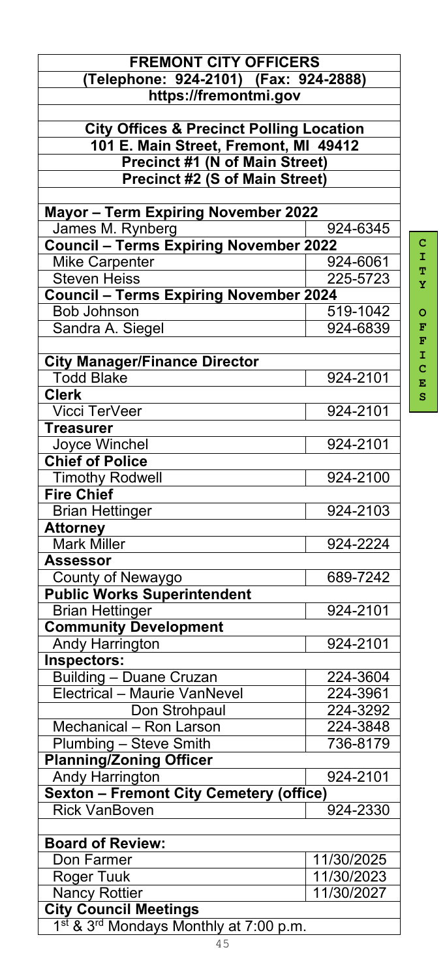|                                                     | <b>FREMONT CITY OFFICERS</b> |  |
|-----------------------------------------------------|------------------------------|--|
| (Telephone: 924-2101) (Fax: 924-2888)               |                              |  |
| https://fremontmi.gov                               |                              |  |
|                                                     |                              |  |
| <b>City Offices &amp; Precinct Polling Location</b> |                              |  |
| 101 E. Main Street, Fremont, MI 49412               |                              |  |
| <b>Precinct #1 (N of Main Street)</b>               |                              |  |
| <b>Precinct #2 (S of Main Street)</b>               |                              |  |
| <b>Mayor - Term Expiring November 2022</b>          |                              |  |
| James M. Rynberg                                    | 924-6345                     |  |
| <b>Council - Terms Expiring November 2022</b>       |                              |  |
| Mike Carpenter                                      | 924-6061                     |  |
| <b>Steven Heiss</b>                                 | 225-5723                     |  |
| <b>Council - Terms Expiring November 2024</b>       |                              |  |
| <b>Bob Johnson</b>                                  | 519-1042                     |  |
| Sandra A. Siegel                                    | 924-6839                     |  |
|                                                     |                              |  |
| <b>City Manager/Finance Director</b>                |                              |  |
| <b>Todd Blake</b>                                   | 924-2101                     |  |
| <b>Clerk</b>                                        |                              |  |
| <b>Vicci TerVeer</b>                                | 924-2101                     |  |
| <b>Treasurer</b>                                    |                              |  |
| Joyce Winchel                                       | 924-2101                     |  |
| <b>Chief of Police</b>                              |                              |  |
| <b>Timothy Rodwell</b>                              | 924-2100                     |  |
| <b>Fire Chief</b>                                   |                              |  |
| <b>Brian Hettinger</b>                              | 924-2103                     |  |
| <b>Attorney</b>                                     |                              |  |
| <b>Mark Miller</b>                                  | 924-2224                     |  |
| <b>Assessor</b>                                     |                              |  |
| County of Newaygo                                   | 689-7242                     |  |
| <b>Public Works Superintendent</b>                  |                              |  |
| <b>Brian Hettinger</b>                              | 924-2101                     |  |
| <b>Community Development</b>                        |                              |  |
| Andy Harrington                                     | 924-2101                     |  |
| Inspectors:                                         |                              |  |
| <b>Building - Duane Cruzan</b>                      | 224-3604                     |  |
| Electrical - Maurie VanNevel                        | 224-3961                     |  |
| Don Strohpaul                                       | 224-3292                     |  |
| Mechanical - Ron Larson                             | 224-3848                     |  |
| Plumbing - Steve Smith                              | 736-8179                     |  |
| <b>Planning/Zoning Officer</b>                      |                              |  |
| <b>Andy Harrington</b>                              | 924-2101                     |  |
| <b>Sexton - Fremont City Cemetery (office)</b>      |                              |  |
| <b>Rick VanBoven</b>                                | 924-2330                     |  |
|                                                     |                              |  |
| <b>Board of Review:</b>                             |                              |  |
| Don Farmer                                          | 11/30/2025                   |  |
|                                                     |                              |  |
| 11/30/2023<br><b>Roger Tuuk</b>                     |                              |  |
| <b>Nancy Rottier</b>                                | 11/30/2027                   |  |
| <b>City Council Meetings</b>                        |                              |  |
| 1st & 3rd Mondays Monthly at 7:00 p.m.              |                              |  |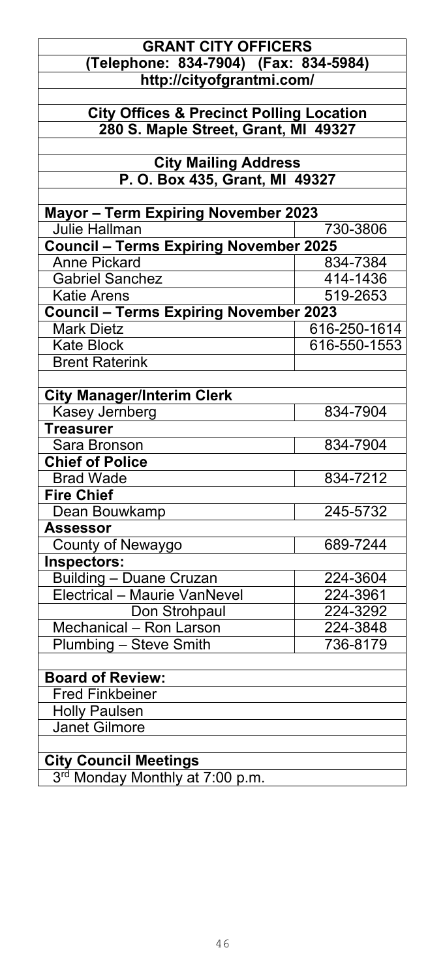### **GRANT CITY OFFICERS (Telephone: 834-7904) (Fax: 834-5984) http://cityofgrantmi.com/**

**City Offices & Precinct Polling Location 280 S. Maple Street, Grant, MI 49327**

> **City Mailing Address P. O. Box 435, Grant, MI 49327**

| <b>Mayor - Term Expiring November 2023</b>    |              |
|-----------------------------------------------|--------------|
| Julie Hallman                                 | 730-3806     |
| <b>Council - Terms Expiring November 2025</b> |              |
| <b>Anne Pickard</b>                           | 834-7384     |
| <b>Gabriel Sanchez</b>                        | 414-1436     |
| <b>Katie Arens</b>                            | 519-2653     |
| <b>Council - Terms Expiring November 2023</b> |              |
| <b>Mark Dietz</b>                             | 616-250-1614 |
| <b>Kate Block</b>                             | 616-550-1553 |
| <b>Brent Raterink</b>                         |              |
|                                               |              |
| <b>City Manager/Interim Clerk</b>             |              |
| Kasey Jernberg                                | 834-7904     |
| <b>Treasurer</b>                              |              |
| Sara Bronson                                  | 834-7904     |
| <b>Chief of Police</b>                        |              |
| <b>Brad Wade</b>                              | 834-7212     |
| <b>Fire Chief</b>                             |              |
| Dean Bouwkamp                                 | 245-5732     |
| <b>Assessor</b>                               |              |
| County of Newaygo                             | 689-7244     |
| Inspectors:                                   |              |
| <b>Building - Duane Cruzan</b>                | 224-3604     |
| Electrical - Maurie VanNevel                  | 224-3961     |
| Don Strohpaul                                 | 224-3292     |
| Mechanical - Ron Larson                       | 224-3848     |
| Plumbing - Steve Smith                        | 736-8179     |
|                                               |              |
| <b>Board of Review:</b>                       |              |
| <b>Fred Finkbeiner</b>                        |              |
| <b>Holly Paulsen</b>                          |              |
| <b>Janet Gilmore</b>                          |              |
|                                               |              |
| <b>City Council Meetings</b>                  |              |

3<sup>rd</sup> Monday Monthly at 7:00 p.m.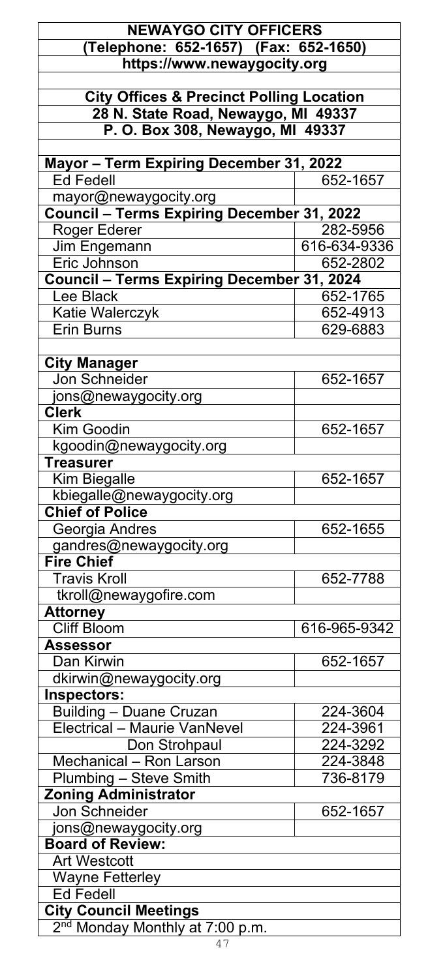| <b>NEWAYGO CITY OFFICERS</b>                        |              |
|-----------------------------------------------------|--------------|
| (Telephone: 652-1657) (Fax: 652-1650)               |              |
| https://www.newaygocity.org                         |              |
|                                                     |              |
| <b>City Offices &amp; Precinct Polling Location</b> |              |
| 28 N. State Road, Newaygo, MI 49337                 |              |
| P. O. Box 308, Newaygo, MI 49337                    |              |
|                                                     |              |
| Mayor - Term Expiring December 31, 2022             |              |
| <b>Ed Fedell</b>                                    | 652-1657     |
| mayor@newaygocity.org                               |              |
| Council - Terms Expiring December 31, 2022          |              |
| Roger Ederer                                        | 282-5956     |
| Jim Engemann                                        | 616-634-9336 |
| Eric Johnson                                        | 652-2802     |
| <b>Council - Terms Expiring December 31, 2024</b>   |              |
| Lee Black                                           |              |
|                                                     | 652-1765     |
| Katie Walerczyk                                     | 652-4913     |
| <b>Erin Burns</b>                                   | 629-6883     |
|                                                     |              |
| <b>City Manager</b>                                 |              |
| Jon Schneider                                       | 652-1657     |
| jons@newaygocity.org                                |              |
| Cler <sub>K</sub>                                   |              |
| Kim Goodin                                          | 652-1657     |
| kgoodin@newaygocity.org                             |              |
| <b>Treasurer</b>                                    |              |
| <b>Kim Biegalle</b>                                 | 652-1657     |
| kbiegalle@newaygocity.org                           |              |
| <b>Chief of Police</b>                              |              |
| Georgia Andres                                      | 652-1655     |
| gandres@newaygocity.org                             |              |
| <b>Fire Chief</b>                                   |              |
| <b>Travis Kroll</b>                                 | 652-7788     |
| tkroll@newaygofire.com                              |              |
| <b>Attorney</b>                                     |              |
| <b>Cliff Bloom</b>                                  | 616-965-9342 |
| Assessor                                            |              |
| Dan Kirwin                                          | 652-1657     |
| dkirwin@newaygocity.org                             |              |
| Inspectors:                                         |              |
| <b>Building - Duane Cruzan</b>                      | 224-3604     |
| <b>Electrical - Maurie VanNevel</b>                 | 224-3961     |
| Don Strohpaul                                       | 224-3292     |
| Mechanical - Ron Larson                             | 224-3848     |
| <b>Plumbing - Steve Smith</b>                       | 736-8179     |
| <b>Zoning Administrator</b>                         |              |
| Jon Schneider                                       | 652-1657     |
| jons@newaygocity.org                                |              |
| <b>Board of Review:</b>                             |              |
| <b>Art Westcott</b>                                 |              |
| Wayne Fetterley                                     |              |
| <b>Ed Fedell</b>                                    |              |
| <b>City Council Meetings</b>                        |              |
| 2 <sup>nd</sup> Monday Monthly at 7:00 p.m.         |              |
|                                                     |              |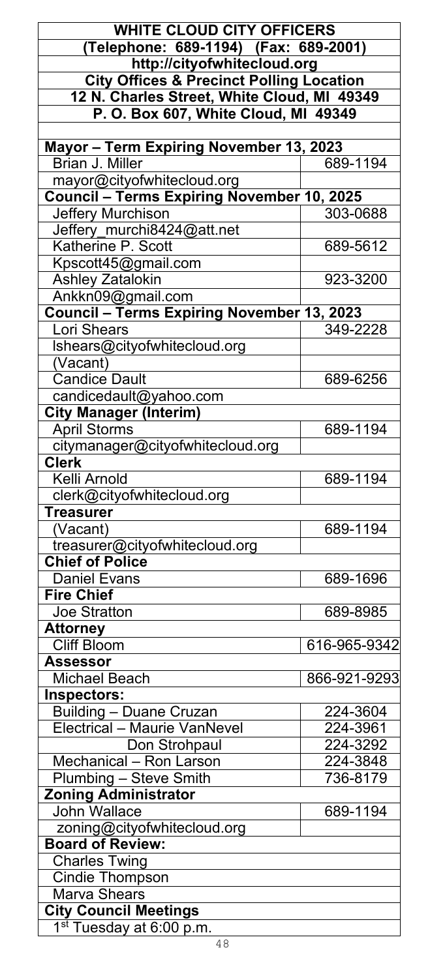| <b>WHITE CLOUD CITY OFFICERS</b>                         |              |
|----------------------------------------------------------|--------------|
| (Telephone: 689-1194) (Fax: 689-2001)                    |              |
| http://cityofwhitecloud.org                              |              |
| <b>City Offices &amp; Precinct Polling Location</b>      |              |
| 12 N. Charles Street, White Cloud, MI 49349              |              |
| P. O. Box 607, White Cloud, MI 49349                     |              |
|                                                          |              |
| Mayor - Term Expiring November 13, 2023                  |              |
| Brian J. Miller                                          | 689-1194     |
| mayor@cityofwhitecloud.org                               |              |
| <b>Council - Terms Expiring November 10, 2025</b>        |              |
| Jeffery Murchison                                        | 303-0688     |
| Jeffery_murchi8424@att.net                               |              |
| Katherine P. Scott                                       | 689-5612     |
| Kpscott45@gmail.com                                      |              |
| <b>Ashley Zatalokin</b>                                  | 923-3200     |
| Ankkn09@gmail.com                                        |              |
| Council - Terms Expiring November 13, 2023               |              |
| Lori Shears                                              | 349-2228     |
| Ishears@cityofwhitecloud.org                             |              |
| (Vacant)                                                 |              |
| <b>Candice Dault</b>                                     | 689-6256     |
| candicedault@yahoo.com                                   |              |
| <b>City Manager (Interim)</b>                            |              |
| <b>April Storms</b>                                      | 689-1194     |
| citymanager@cityofwhitecloud.org                         |              |
| <b>Clerk</b>                                             |              |
| Kelli Arnold                                             | 689-1194     |
| clerk@cityofwhitecloud.org<br><b>Treasurer</b>           |              |
| (Vacant)                                                 | 689-1194     |
|                                                          |              |
| treasurer@cityofwhitecloud.org<br><b>Chief of Police</b> |              |
| <b>Daniel Evans</b>                                      | 689-1696     |
| <b>Fire Chief</b>                                        |              |
| Joe Stratton                                             | 689-8985     |
| Attorney                                                 |              |
| <b>Cliff Bloom</b>                                       | 616-965-9342 |
| <b>Assessor</b>                                          |              |
| <b>Michael Beach</b>                                     | 866-921-9293 |
| Inspectors:                                              |              |
| <b>Building - Duane Cruzan</b>                           | 224-3604     |
| Electrical - Maurie VanNevel                             | 224-3961     |
| Don Strohpaul                                            | 224-3292     |
| Mechanical - Ron Larson                                  | 224-3848     |
| Plumbing - Steve Smith                                   | 736-8179     |
| <b>Zoning Administrator</b>                              |              |
| John Wallace                                             | 689-1194     |
| zoning@cityofwhitecloud.org                              |              |
| <b>Board of Review:</b>                                  |              |
| Charles Twing                                            |              |
| <b>Cindie Thompson</b>                                   |              |
| Marva Shears                                             |              |
| <b>City Council Meetings</b>                             |              |
| 1 <sup>st</sup> Tuesday at 6:00 p.m.                     |              |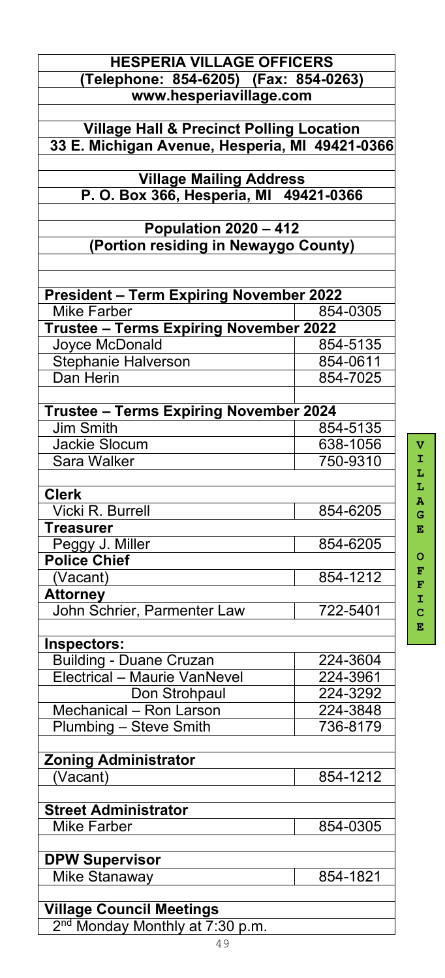| <b>HESPERIA VILLAGE OFFICERS</b>                    |          |
|-----------------------------------------------------|----------|
| (Telephone: 854-6205) (Fax: 854-0263)               |          |
| www.hesperiavillage.com                             |          |
|                                                     |          |
| <b>Village Hall &amp; Precinct Polling Location</b> |          |
| 33 E. Michigan Avenue, Hesperia, MI 49421-0366      |          |
| <b>Village Mailing Address</b>                      |          |
| P. O. Box 366, Hesperia, MI 49421-0366              |          |
|                                                     |          |
| <b>Population 2020 - 412</b>                        |          |
| (Portion residing in Newaygo County)                |          |
|                                                     |          |
|                                                     |          |
| <b>President - Term Expiring November 2022</b>      |          |
| <b>Mike Farber</b>                                  | 854-0305 |
| Trustee - Terms Expiring November 2022              |          |
| Joyce McDonald                                      | 854-5135 |
| Stephanie Halverson                                 | 854-0611 |
| Dan Herin                                           | 854-7025 |
|                                                     |          |
| <b>Trustee - Terms Expiring November 2024</b>       |          |
| <b>Jim Smith</b>                                    | 854-5135 |
| <b>Jackie Slocum</b>                                | 638-1056 |
| Sara Walker                                         | 750-9310 |
|                                                     |          |
| <b>Clerk</b>                                        |          |
| Vicki R. Burrell                                    | 854-6205 |
| <b>Treasurer</b>                                    |          |
| Peggy J. Miller<br><b>Police Chief</b>              | 854-6205 |
|                                                     | 854-1212 |
| (Vacant)                                            |          |
| <b>Attorney</b><br>John Schrier, Parmenter Law      | 722-5401 |
|                                                     |          |
| Inspectors:                                         |          |
| <b>Building - Duane Cruzan</b>                      | 224-3604 |
| <b>Electrical - Maurie VanNevel</b>                 | 224-3961 |
| Don Strohpaul                                       | 224-3292 |
| Mechanical - Ron Larson                             | 224-3848 |
| Plumbing - Steve Smith                              | 736-8179 |
|                                                     |          |
| <b>Zoning Administrator</b>                         |          |
| (Vacant)                                            | 854-1212 |
|                                                     |          |
| <b>Street Administrator</b>                         |          |
| <b>Mike Farber</b>                                  | 854-0305 |
|                                                     |          |
| <b>DPW Supervisor</b>                               |          |
| Mike Stanaway                                       | 854-1821 |
|                                                     |          |
| <b>Village Council Meetings</b>                     |          |

**V I L L A G E O F F I C E**

2<sup>nd</sup> Monday Monthly at 7:30 p.m.